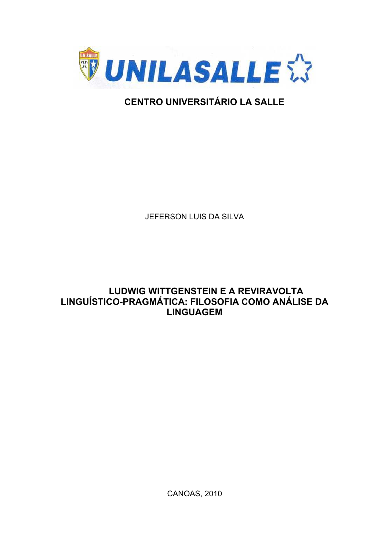

# **CENTRO UNIVERSITÁRIO LA SALLE**

JEFERSON LUIS DA SILVA

# **LUDWIG WITTGENSTEIN E A REVIRAVOLTA** LINGUÍSTICO-PRAGMÁTICA: FILOSOFIA COMO ANÁLISE DA **LINGUAGEM**

**CANOAS, 2010**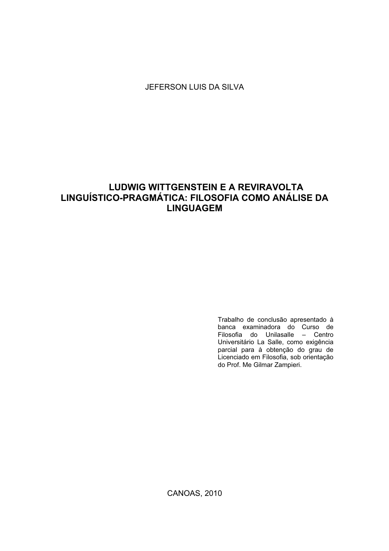JEFERSON LUIS DA SILVA

## **LUDWIG WITTGENSTEIN E A REVIRAVOLTA** LINGUÍSTICO-PRAGMÁTICA: FILOSOFIA COMO ANÁLISE DA **LINGUAGEM**

Trabalho de conclusão apresentado à banca examinadora do Curso de<br>Filosofia do Unilasalle - Centro Universitário La Salle, como exigência parcial para à obtenção do grau de Licenciado em Filosofia, sob orientação do Prof. Me Gilmar Zampieri.

**CANOAS, 2010**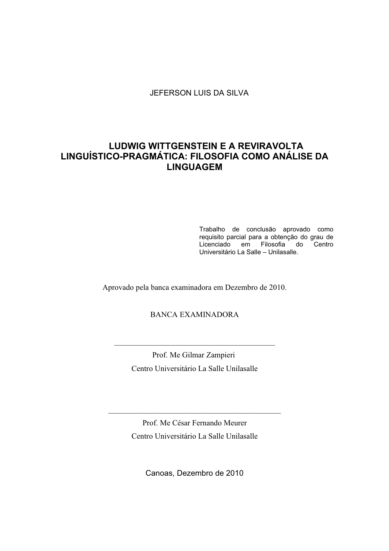JEFERSON LUIS DA SILVA

### **LUDWIG WITTGENSTEIN E A REVIRAVOLTA** LINGUÍSTICO-PRAGMÁTICA: FILOSOFIA COMO ANÁLISE DA **LINGUAGEM**

Trabalho de conclusão aprovado como requisito parcial para a obtenção do grau de Licenciado em Filosofia do Centro Universitário La Salle - Unilasalle.

Aprovado pela banca examinadora em Dezembro de 2010.

### **BANCA EXAMINADORA**

Prof. Me Gilmar Zampieri Centro Universitário La Salle Unilasalle

Prof. Me César Fernando Meurer Centro Universitário La Salle Unilasalle

Canoas, Dezembro de 2010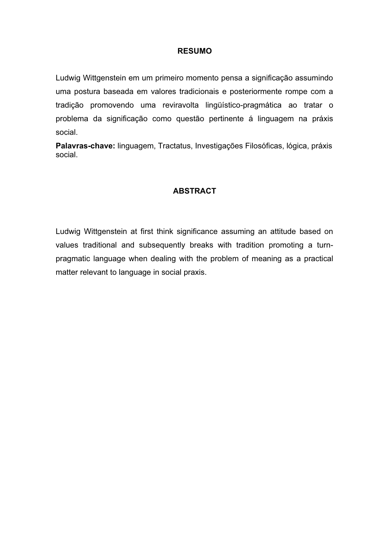#### **RESUMO**

Ludwig Wittgenstein em um primeiro momento pensa a significação assumindo uma postura baseada em valores tradicionais e posteriormente rompe com a tradição promovendo uma reviravolta lingüístico-pragmática ao tratar o problema da significação como questão pertinente á linguagem na práxis social.

Palavras-chave: linguagem, Tractatus, Investigações Filosóficas, lógica, práxis social

#### **ABSTRACT**

Ludwig Wittgenstein at first think significance assuming an attitude based on values traditional and subsequently breaks with tradition promoting a turnpragmatic language when dealing with the problem of meaning as a practical matter relevant to language in social praxis.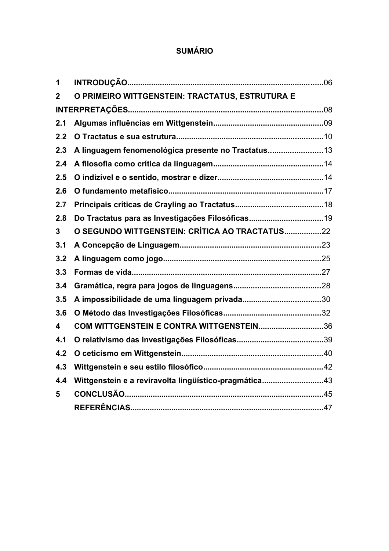# **SUMÁRIO**

| 1                       |                                                       |  |
|-------------------------|-------------------------------------------------------|--|
| $\mathbf{2}$            | O PRIMEIRO WITTGENSTEIN: TRACTATUS, ESTRUTURA E       |  |
|                         |                                                       |  |
| 2.1                     |                                                       |  |
| 2.2                     |                                                       |  |
| 2.3                     | A linguagem fenomenológica presente no Tractatus      |  |
| 2.4                     |                                                       |  |
| 2.5                     |                                                       |  |
| 2.6                     |                                                       |  |
| 2.7                     |                                                       |  |
| 2.8                     | Do Tractatus para as Investigações Filosóficas19      |  |
| 3                       | O SEGUNDO WITTGENSTEIN: CRÍTICA AO TRACTATUS22        |  |
| 3.1                     |                                                       |  |
| 3.2                     |                                                       |  |
| 3.3                     |                                                       |  |
| 3.4                     |                                                       |  |
| 3.5                     |                                                       |  |
| 3.6                     |                                                       |  |
| $\overline{\mathbf{4}}$ | COM WITTGENSTEIN E CONTRA WITTGENSTEIN36              |  |
| 4.1                     |                                                       |  |
| 4.2                     |                                                       |  |
| 4.3                     |                                                       |  |
| 4.4                     | Wittgenstein e a reviravolta lingüístico-pragmática43 |  |
| 5                       |                                                       |  |
|                         |                                                       |  |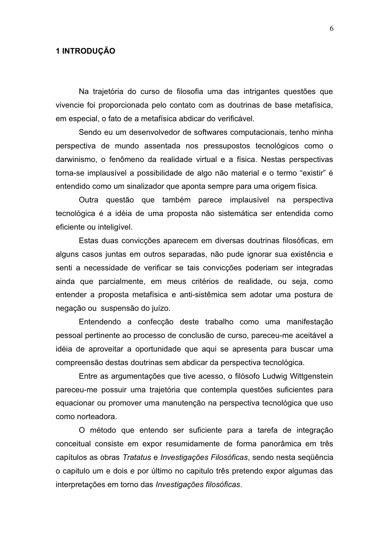#### 1 INTRODUÇÃO

Na trajetória do curso de filosofia uma das intrigantes questões que vivencie foi proporcionada pelo contato com as doutrinas de base metafísica, em especial, o fato de a metafísica abdicar do verificável.

Sendo eu um desenvolvedor de softwares computacionais, tenho minha perspectiva de mundo assentada nos pressupostos tecnológicos como o darwinismo, o fenômeno da realidade virtual e a física. Nestas perspectivas torna-se implausível a possibilidade de algo não material e o termo "existir" é entendido como um sinalizador que aponta sempre para uma origem física.

Outra questão que também parece implausível na perspectiva tecnológica é a idéia de uma proposta não sistemática ser entendida como eficiente ou inteligível.

Estas duas convicções aparecem em diversas doutrinas filosóficas, em alguns casos juntas em outros separadas, não pude ignorar sua existência e senti a necessidade de verificar se tais convicções poderiam ser integradas ainda que parcialmente, em meus critérios de realidade, ou seja, como entender a proposta metafísica e anti-sistêmica sem adotar uma postura de negação ou suspensão do juízo.

Entendendo a confecção deste trabalho como uma manifestação pessoal pertinente ao processo de conclusão de curso, pareceu-me aceitável a idéia de aproveitar a oportunidade que aqui se apresenta para buscar uma compreensão destas doutrinas sem abdicar da perspectiva tecnológica.

Entre as argumentações que tive acesso, o filósofo Ludwig Wittgenstein pareceu-me possuir uma trajetória que contempla questões suficientes para equacionar ou promover uma manutenção na perspectiva tecnológica que uso como norteadora.

O método que entendo ser suficiente para a tarefa de integração conceitual consiste em expor resumidamente de forma panorâmica em três capítulos as obras Tratatus e Investigações Filosóficas, sendo nesta sequência o capitulo um e dois e por último no capitulo três pretendo expor algumas das interpretações em torno das Investigações filosóficas.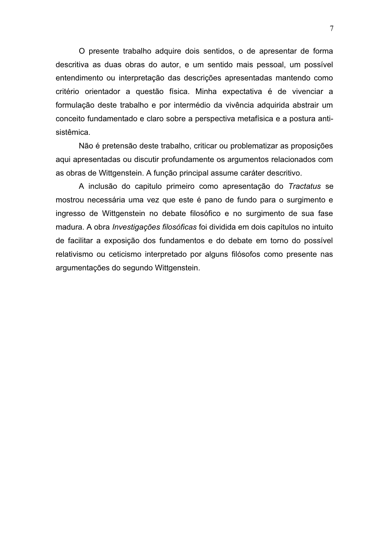O presente trabalho adquire dois sentidos, o de apresentar de forma descritiva as duas obras do autor, e um sentido mais pessoal, um possível entendimento ou interpretação das descrições apresentadas mantendo como critério orientador a questão física. Minha expectativa é de vivenciar a formulação deste trabalho e por intermédio da vivência adquirida abstrair um conceito fundamentado e claro sobre a perspectiva metafísica e a postura antisistêmica.

Não é pretensão deste trabalho, criticar ou problematizar as proposições aqui apresentadas ou discutir profundamente os argumentos relacionados com as obras de Wittgenstein. A função principal assume caráter descritivo.

A inclusão do capitulo primeiro como apresentação do Tractatus se mostrou necessária uma vez que este é pano de fundo para o surgimento e ingresso de Wittgenstein no debate filosófico e no surgimento de sua fase madura. A obra *Investigações filosóficas* foi dividida em dois capítulos no intuito de facilitar a exposição dos fundamentos e do debate em torno do possível relativismo ou ceticismo interpretado por alguns filósofos como presente nas argumentações do segundo Wittgenstein.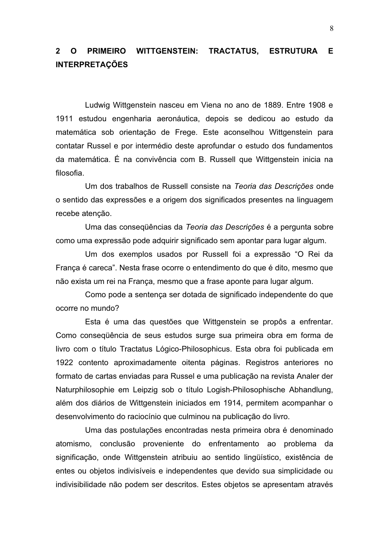#### $\overline{2}$ O PRIMEIRO WITTGENSTEIN: **TRACTATUS, ESTRUTURA** F. **INTERPRETACÕES**

Ludwig Wittgenstein nasceu em Viena no ano de 1889. Entre 1908 e 1911 estudou engenharia aeronáutica, depois se dedicou ao estudo da matemática sob orientação de Frege. Este aconselhou Wittgenstein para contatar Russel e por intermédio deste aprofundar o estudo dos fundamentos da matemática. É na convivência com B. Russell que Wittgenstein inicia na filosofia.

Um dos trabalhos de Russell consiste na Teoria das Descrições onde o sentido das expressões e a origem dos significados presentes na linguagem recebe atenção.

Uma das consequências da Teoria das Descrições é a pergunta sobre como uma expressão pode adquirir significado sem apontar para lugar algum.

Um dos exemplos usados por Russell foi a expressão "O Rei da França é careca". Nesta frase ocorre o entendimento do que é dito, mesmo que não exista um rei na França, mesmo que a frase aponte para lugar algum.

Como pode a sentença ser dotada de significado independente do que ocorre no mundo?

Esta é uma das questões que Wittgenstein se propôs a enfrentar. Como consequência de seus estudos surge sua primeira obra em forma de livro com o título Tractatus Lógico-Philosophicus. Esta obra foi publicada em 1922 contento aproximadamente oitenta páginas. Registros anteriores no formato de cartas enviadas para Russel e uma publicação na revista Analer der Naturphilosophie em Leipzig sob o título Logish-Philosophische Abhandlung, além dos diários de Wittgenstein iniciados em 1914, permitem acompanhar o desenvolvimento do raciocínio que culminou na publicação do livro.

Uma das postulações encontradas nesta primeira obra é denominado atomismo, conclusão proveniente do enfrentamento ao problema da significação, onde Wittgenstein atribuiu ao sentido lingüístico, existência de entes ou objetos indivisíveis e independentes que devido sua simplicidade ou indivisibilidade não podem ser descritos. Estes objetos se apresentam através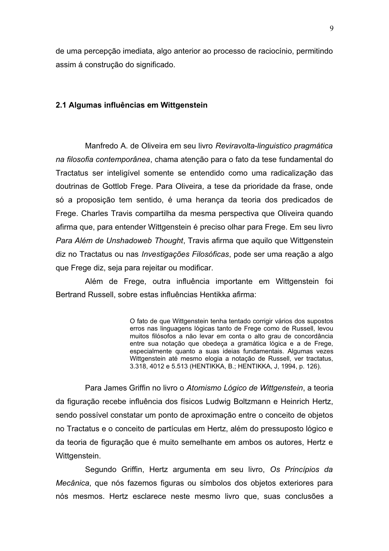de uma percepção imediata, algo anterior ao processo de raciocínio, permitindo assim á construção do significado.

#### 2.1 Algumas influências em Wittgenstein

Manfredo A. de Oliveira em seu livro Reviravolta-linguistico pragmática na filosofia contemporânea, chama atenção para o fato da tese fundamental do Tractatus ser inteligível somente se entendido como uma radicalização das doutrinas de Gottlob Frege. Para Oliveira, a tese da prioridade da frase, onde só a proposição tem sentido, é uma herança da teoria dos predicados de Frege. Charles Travis compartilha da mesma perspectiva que Oliveira quando afirma que, para entender Wittgenstein é preciso olhar para Frege. Em seu livro Para Além de Unshadoweb Thought, Travis afirma que aquilo que Wittgenstein diz no Tractatus ou nas *Investigações Filosóficas*, pode ser uma reação a algo que Frege diz, seja para rejeitar ou modificar.

Além de Frege, outra influência importante em Wittgenstein foi Bertrand Russell, sobre estas influências Hentikka afirma:

> O fato de que Wittgenstein tenha tentado corrigir vários dos supostos erros nas linguagens lógicas tanto de Frege como de Russell, levou muitos filósofos a não levar em conta o alto grau de concordância entre sua notação que obedeça a gramática lógica e a de Frege, especialmente quanto a suas ideias fundamentais. Algumas vezes Wittgenstein até mesmo elogia a notação de Russell, ver tractatus, 3.318, 4012 e 5.513 (HENTIKKA, B.; HENTIKKA, J, 1994, p. 126).

Para James Griffin no livro o Atomismo Lógico de Wittgenstein, a teoria da figuração recebe influência dos físicos Ludwig Boltzmann e Heinrich Hertz, sendo possível constatar um ponto de aproximação entre o conceito de objetos no Tractatus e o conceito de partículas em Hertz, além do pressuposto lógico e da teoria de figuração que é muito semelhante em ambos os autores. Hertz e Wittgenstein.

Segundo Griffin, Hertz argumenta em seu livro, Os Princípios da Mecânica, que nós fazemos figuras ou símbolos dos objetos exteriores para nós mesmos. Hertz esclarece neste mesmo livro que, suas conclusões a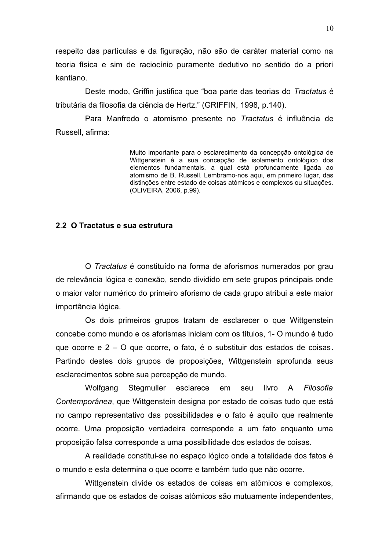respeito das partículas e da figuração, não são de caráter material como na teoria física e sim de raciocínio puramente dedutivo no sentido do a priori kantiano.

Deste modo, Griffin justifica que "boa parte das teorias do Tractatus é tributária da filosofia da ciência de Hertz." (GRIFFIN, 1998, p.140).

Para Manfredo o atomismo presente no Tractatus é influência de Russell, afirma:

> Muito importante para o esclarecimento da concepção ontológica de Wittgenstein é a sua concepção de isolamento ontológico dos elementos fundamentais, a qual está profundamente ligada ao atomismo de B. Russell. Lembramo-nos aqui, em primeiro lugar, das distinções entre estado de coisas atômicos e complexos ou situações. (OLIVEIRA, 2006, p.99).

#### 2.2 O Tractatus e sua estrutura

O Tractatus é constituído na forma de aforismos numerados por grau de relevância lógica e conexão, sendo dividido em sete grupos principais onde o maior valor numérico do primeiro aforismo de cada grupo atribui a este maior importância lógica.

Os dois primeiros grupos tratam de esclarecer o que Wittgenstein concebe como mundo e os aforismas iniciam com os títulos, 1- O mundo é tudo que ocorre e 2 – O que ocorre, o fato, é o substituir dos estados de coisas. Partindo destes dois grupos de proposições, Wittgenstein aprofunda seus esclarecimentos sobre sua percepção de mundo.

Wolfgang Stegmuller esclarece em seu livro A Filosofia Contemporânea, que Wittgenstein designa por estado de coisas tudo que está no campo representativo das possibilidades e o fato é aquilo que realmente ocorre. Uma proposição verdadeira corresponde a um fato enquanto uma proposição falsa corresponde a uma possibilidade dos estados de coisas.

A realidade constitui-se no espaço lógico onde a totalidade dos fatos é o mundo e esta determina o que ocorre e também tudo que não ocorre.

Wittgenstein divide os estados de coisas em atômicos e complexos. afirmando que os estados de coisas atômicos são mutuamente independentes,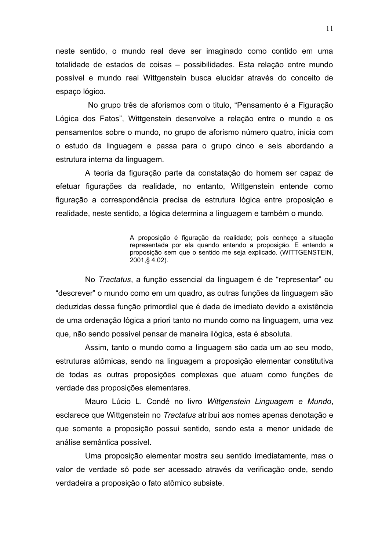neste sentido, o mundo real deve ser imaginado como contido em uma totalidade de estados de coisas – possibilidades. Esta relação entre mundo possível e mundo real Wittgenstein busca elucidar através do conceito de espaco lógico.

No grupo três de aforismos com o titulo, "Pensamento é a Figuração Lógica dos Fatos", Wittgenstein desenvolve a relação entre o mundo e os pensamentos sobre o mundo, no grupo de aforismo número quatro, inicia com o estudo da linguagem e passa para o grupo cinco e seis abordando a estrutura interna da linguagem.

A teoria da figuração parte da constatação do homem ser capaz de efetuar figurações da realidade, no entanto, Wittgenstein entende como figuração a correspondência precisa de estrutura lógica entre proposição e realidade, neste sentido, a lógica determina a linguagem e também o mundo.

> A proposição é figuração da realidade; pois conheço a situação representada por ela quando entendo a proposição. E entendo a proposição sem que o sentido me seja explicado. (WITTGENSTEIN, 2001,§4.02).

No Tractatus, a função essencial da linguagem é de "representar" ou "descrever" o mundo como em um quadro, as outras funções da linguagem são deduzidas dessa função primordial que é dada de imediato devido a existência de uma ordenação lógica a priori tanto no mundo como na linguagem, uma vez que, não sendo possível pensar de maneira ilógica, esta é absoluta.

Assim, tanto o mundo como a linguagem são cada um ao seu modo, estruturas atômicas, sendo na linguagem a proposição elementar constitutiva de todas as outras proposições complexas que atuam como funções de verdade das proposições elementares.

Mauro Lúcio L. Condé no livro Wittgenstein Linguagem e Mundo, esclarece que Wittgenstein no Tractatus atribui aos nomes apenas denotação e que somente a proposição possui sentido, sendo esta a menor unidade de análise semântica possível.

Uma proposição elementar mostra seu sentido imediatamente, mas o valor de verdade só pode ser acessado através da verificação onde, sendo verdadeira a proposição o fato atômico subsiste.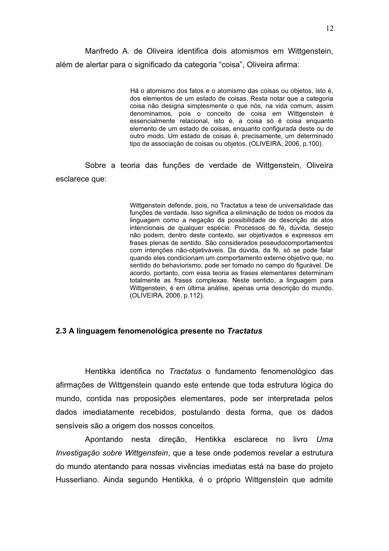Manfredo A. de Oliveira identifica dois atomismos em Wittgenstein, além de alertar para o significado da categoria "coisa", Oliveira afirma:

> Há o atomismo dos fatos e o atomismo das coisas ou objetos, isto é, dos elementos de um estado de coisas. Resta notar que a categoria coisa não designa simplesmente o que nós, na vida comum, assim denominamos, pois o conceito de coisa em Wittgenstein é essencialmente relacional, isto é, a coisa só é coisa enquanto elemento de um estado de coisas, enquanto configurada deste ou de outro modo. Um estado de coisas é, precisamente, um determinado tipo de associação de coisas ou objetos. (OLIVEIRA, 2006, p.100).

Sobre a teoria das funções de verdade de Wittgenstein, Oliveira esclarece que:

> Wittgenstein defende, pois, no Tractatus a tese de universalidade das funções de verdade. Isso significa a eliminação de todos os modos da linguagem como a negação da possibilidade de descrição de atos intencionais de qualquer espécie. Processos de fé, dúvida, desejo não podem, dentro deste contexto, ser objetivados e expressos em frases plenas de sentido. São considerados peseudocomportamentos com intenções não-objetiváveis. Da dúvida, da fé, só se pode falar quando eles condicionam um comportamento externo objetivo que, no sentido do behaviorismo, pode ser tomado no campo do figurável. De acordo, portanto, com essa teoria as frases elementares determinam totalmente as frases complexas. Neste sentido, a linguagem para Wittgenstein, é em última análise, apenas uma descrição do mundo. (OLIVEIRA, 2006, p.112).

#### 2.3 A linguagem fenomenológica presente no Tractatus

Hentikka identifica no Tractatus o fundamento fenomenológico das afirmações de Wittgenstein guando este entende que toda estrutura lógica do mundo, contida nas proposições elementares, pode ser interpretada pelos dados imediatamente recebidos, postulando desta forma, que os dados sensíveis são a origem dos nossos conceitos.

Apontando nesta direção, Hentikka esclarece no livro Uma Investigação sobre Wittgenstein, que a tese onde podemos revelar a estrutura do mundo atentando para nossas vivências imediatas está na base do projeto Husserliano. Ainda segundo Hentikka, é o próprio Wittgenstein que admite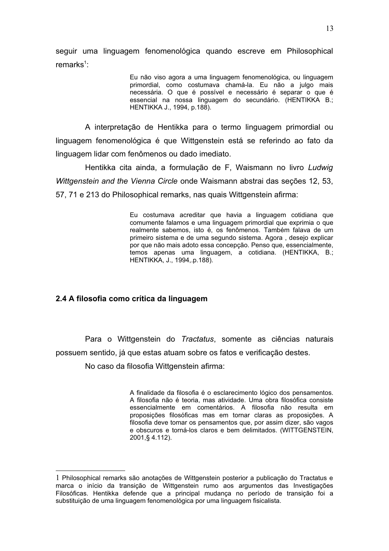seguir uma linguagem fenomenológica quando escreve em Philosophical remarks<sup>1</sup>:

> Eu não viso agora a uma linguagem fenomenológica, ou linguagem primordial, como costumava chamá-la. Eu não a julgo mais necessária. O que é possível e necessário é separar o que é essencial na nossa linguagem do secundário. (HENTIKKA B.; HENTIKKA J., 1994, p.188).

A interpretação de Hentikka para o termo linguagem primordial ou linguagem fenomenológica é que Wittgenstein está se referindo ao fato da linguagem lidar com fenômenos ou dado imediato.

Hentikka cita ainda, a formulação de F, Waismann no livro Ludwig Wittgenstein and the Vienna Circle onde Waismann abstrai das seções 12, 53, 57, 71 e 213 do Philosophical remarks, nas quais Wittgenstein afirma:

> Eu costumava acreditar que havia a linguagem cotidiana que comumente falamos e uma linguagem primordial que exprimia o que realmente sabemos, isto é, os fenômenos. Também falava de um primeiro sistema e de uma segundo sistema. Agora, desejo explicar por que não mais adoto essa concepção. Penso que, essencialmente, temos apenas uma linguagem, a cotidiana. (HENTIKKA, B.; HENTIKKA, J., 1994, p.188).

#### 2.4 A filosofia como crítica da linguagem

Para o Wittgenstein do Tractatus, somente as ciências naturais possuem sentido, já que estas atuam sobre os fatos e verificação destes.

No caso da filosofia Wittgenstein afirma:

A finalidade da filosofia é o esclarecimento lógico dos pensamentos. A filosofia não é teoria, mas atividade. Uma obra filosófica consiste essencialmente em comentários. A filosofia não resulta em proposições filosóficas mas em tornar claras as proposições. A filosofia deve tomar os pensamentos que, por assim dizer, são vagos e obscuros e torná-los claros e bem delimitados. (WITTGENSTEIN, 2001,§ 4.112).

<sup>1</sup> Philosophical remarks são anotações de Wittgenstein posterior a publicação do Tractatus e marca o início da transicão de Wittgenstein rumo aos argumentos das Investigações Filosóficas. Hentikka defende que a principal mudança no período de transição foi a substituição de uma linguagem fenomenológica por uma linguagem fisicalista.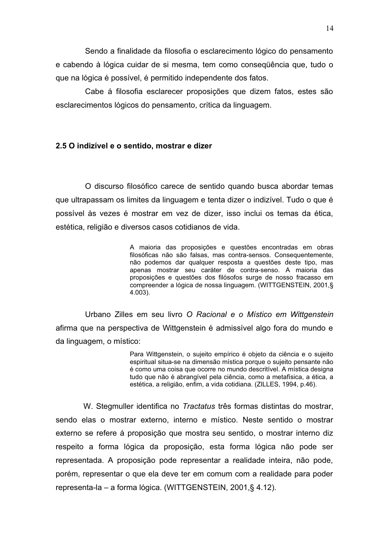Sendo a finalidade da filosofia o esclarecimento lógico do pensamento e cabendo à lógica cuidar de si mesma, tem como consequência que, tudo o que na lógica é possível, é permitido independente dos fatos.

Cabe á filosofia esclarecer proposições que dizem fatos, estes são esclarecimentos lógicos do pensamento, crítica da linguagem.

#### 2.5 O indizível e o sentido, mostrar e dizer

O discurso filosófico carece de sentido quando busca abordar temas que ultrapassam os limites da linguagem e tenta dizer o indizível. Tudo o que é possível às vezes é mostrar em vez de dizer, isso inclui os temas da ética, estética, religião e diversos casos cotidianos de vida.

> A maioria das proposições e questões encontradas em obras filosóficas não são falsas, mas contra-sensos. Consequentemente, não podemos dar qualquer resposta a questões deste tipo, mas apenas mostrar seu caráter de contra-senso. A maioria das proposições e questões dos filósofos surge de nosso fracasso em compreender a lógica de nossa linguagem. (WITTGENSTEIN, 2001,§  $4.003$ ).

Urbano Zilles em seu livro O Racional e o Místico em Wittgenstein afirma que na perspectiva de Wittgenstein é admissível algo fora do mundo e da linguagem, o místico:

> Para Wittgenstein, o sujeito empírico é objeto da ciência e o sujeito espiritual situa-se na dimensão mística porque o sujeito pensante não é como uma coisa que ocorre no mundo descritível. A mística designa tudo que não é abrangível pela ciência, como a metafísica, a ética, a estética, a religião, enfim, a vida cotidiana. (ZILLES, 1994, p.46).

W. Stegmuller identifica no Tractatus três formas distintas do mostrar, sendo elas o mostrar externo, interno e místico. Neste sentido o mostrar externo se refere á proposição que mostra seu sentido, o mostrar interno diz respeito a forma lógica da proposição, esta forma lógica não pode ser representada. A proposição pode representar a realidade inteira, não pode, porém, representar o que ela deve ter em comum com a realidade para poder representa-la - a forma lógica. (WITTGENSTEIN, 2001,§ 4.12).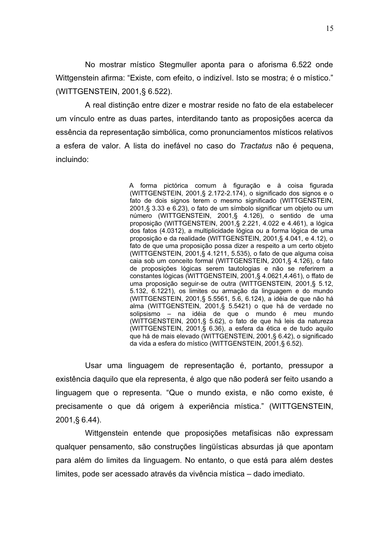No mostrar místico Stegmuller aponta para o aforisma 6.522 onde Wittgenstein afirma: "Existe, com efeito, o indizível. Isto se mostra; é o místico." (WITTGENSTEIN, 2001, § 6.522).

A real distinção entre dizer e mostrar reside no fato de ela estabelecer um vínculo entre as duas partes, interditando tanto as proposições acerca da essência da representação simbólica, como pronunciamentos místicos relativos a esfera de valor. A lista do inefável no caso do Tractatus não é pequena, incluindo:

> A forma pictórica comum à figuração e à coisa figurada (WITTGENSTEIN, 2001,§ 2.172-2.174), o significado dos signos e o fato de dois signos terem o mesmo significado (WITTGENSTEIN, 2001,§ 3.33 e 6.23), o fato de um símbolo significar um objeto ou um número (WITTGENSTEIN, 2001,§ 4.126), o sentido de uma proposição (WITTGENSTEIN, 2001,§ 2.221, 4.022 e 4.461), a lógica dos fatos (4.0312), a multiplicidade lógica ou a forma lógica de uma proposição e da realidade (WITTGENSTEIN, 2001,§ 4.041, e 4.12), o fato de que uma proposição possa dizer a respeito a um certo objeto (WITTGENSTEIN, 2001,§ 4.1211, 5.535), o fato de que alguma coisa caia sob um conceito formal (WITTGENSTEIN, 2001,§ 4.126), o fato de proposições lógicas serem tautologias e não se referirem a constantes lógicas (WITTGENSTEIN, 2001,§ 4.0621,4.461), o ffato de uma proposição seguir-se de outra (WITTGENSTEIN, 2001,§ 5.12, 5.132, 6.1221), os limites ou armação da linguagem e do mundo (WITTGENSTEIN, 2001,§ 5.5561, 5.6, 6.124), a idéia de que não há alma (WITTGENSTEIN, 2001,§ 5.5421) o que há de verdade no solipsismo - na idéia de que o mundo é meu mundo (WITTGENSTEIN, 2001,§ 5.62), o fato de que há leis da natureza (WITTGENSTEIN, 2001,§ 6.36), a esfera da ética e de tudo aquilo que há de mais elevado (WITTGENSTEIN, 2001, § 6.42), o significado da vida a esfera do místico (WITTGENSTEIN, 2001,§ 6.52).

Usar uma linguagem de representação é, portanto, pressupor a existência daquilo que ela representa, é algo que não poderá ser feito usando a linguagem que o representa. "Que o mundo exista, e não como existe, é precisamente o que dá origem à experiência mística." (WITTGENSTEIN, 2001, § 6.44).

Wittgenstein entende que proposições metafísicas não expressam qualquer pensamento, são construções lingüísticas absurdas já que apontam para além do limites da linguagem. No entanto, o que está para além destes limites, pode ser acessado através da vivência mística – dado imediato.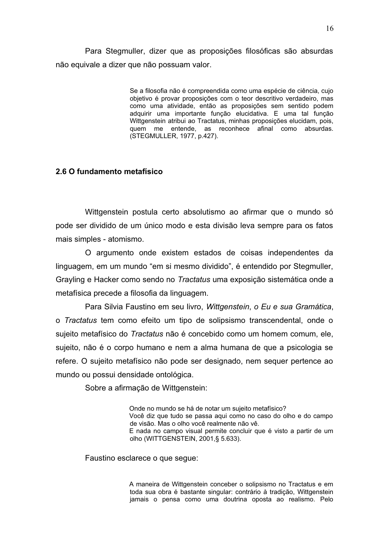Para Stegmuller, dizer que as proposições filosóficas são absurdas não equivale a dizer que não possuam valor.

> Se a filosofia não é compreendida como uma espécie de ciência, cujo objetivo é provar proposições com o teor descritivo verdadeiro, mas como uma atividade, então as proposições sem sentido podem adquirir uma importante função elucidativa. E uma tal função Wittgenstein atribui ao Tractatus, minhas proposicões elucidam, pois. quem me entende, as reconhece afinal como absurdas. (STEGMULLER, 1977, p.427).

#### 2.6 O fundamento metafísico

Wittgenstein postula certo absolutismo ao afirmar que o mundo só pode ser dividido de um único modo e esta divisão leva sempre para os fatos mais simples - atomismo.

O argumento onde existem estados de coisas independentes da linguagem, em um mundo "em si mesmo dividido", é entendido por Stegmuller, Grayling e Hacker como sendo no Tractatus uma exposição sistemática onde a metafísica precede a filosofia da linguagem.

Para Silvia Faustino em seu livro, Wittgenstein, o Eu e sua Gramática, o Tractatus tem como efeito um tipo de solipsismo transcendental, onde o sujeito metafísico do Tractatus não é concebido como um homem comum, ele, sujeito, não é o corpo humano e nem a alma humana de que a psicologia se refere. O sujeito metafísico não pode ser designado, nem sequer pertence ao mundo ou possui densidade ontológica.

Sobre a afirmação de Wittgenstein:

Onde no mundo se há de notar um sujeito metafísico? Você diz que tudo se passa aqui como no caso do olho e do campo de visão. Mas o olho você realmente não vê. E nada no campo visual permite concluir que é visto a partir de um olho (WITTGENSTEIN, 2001, § 5.633).

Faustino esclarece o que segue:

A maneira de Wittgenstein conceber o solipsismo no Tractatus e em toda sua obra é bastante singular: contrário à tradição. Wittgenstein jamais o pensa como uma doutrina oposta ao realismo. Pelo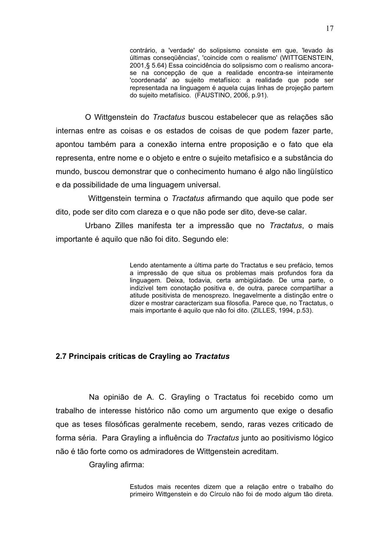contrário, a 'verdade' do solipsismo consiste em que, 'levado às últimas conseqüências', 'coincide com o realismo' (WITTGENSTEIN, 2001,§ 5.64) Essa coincidência do solipsismo com o realismo ancorase na concepção de que a realidade encontra-se inteiramente 'coordenada' ao sujeito metafísico: a realidade que pode ser representada na linguagem é aguela cujas linhas de projeção partem do sujeito metafísico. (FAUSTINO, 2006, p.91).

O Wittgenstein do Tractatus buscou estabelecer que as relações são internas entre as coisas e os estados de coisas de que podem fazer parte, apontou também para a conexão interna entre proposição e o fato que ela representa, entre nome e o obieto e entre o sujeito metafísico e a substância do mundo, buscou demonstrar que o conhecimento humano é algo não lingüístico e da possibilidade de uma linguagem universal.

Wittgenstein termina o Tractatus afirmando que aquilo que pode ser dito, pode ser dito com clareza e o que não pode ser dito, deve-se calar.

Urbano Zilles manifesta ter a impressão que no Tractatus, o mais importante é aquilo que não foi dito. Segundo ele:

> Lendo atentamente a última parte do Tractatus e seu prefácio, temos a impressão de que situa os problemas mais profundos fora da linguagem. Deixa, todavia, certa ambigüidade. De uma parte, o indizível tem conotação positiva e, de outra, parece compartilhar a atitude positivista de menosprezo. Inegavelmente a distinção entre o dizer e mostrar caracterizam sua filosofia. Parece que, no Tractatus, o mais importante é aquilo que não foi dito. (ZILLES, 1994, p.53).

#### 2.7 Principais críticas de Crayling ao Tractatus

Na opinião de A. C. Grayling o Tractatus foi recebido como um trabalho de interesse histórico não como um argumento que exige o desafio que as teses filosóficas geralmente recebem, sendo, raras vezes criticado de forma séria. Para Grayling a influência do Tractatus junto ao positivismo lógico não é tão forte como os admiradores de Wittgenstein acreditam.

Grayling afirma:

Estudos mais recentes dizem que a relação entre o trabalho do primeiro Wittgenstein e do Círculo não foi de modo algum tão direta.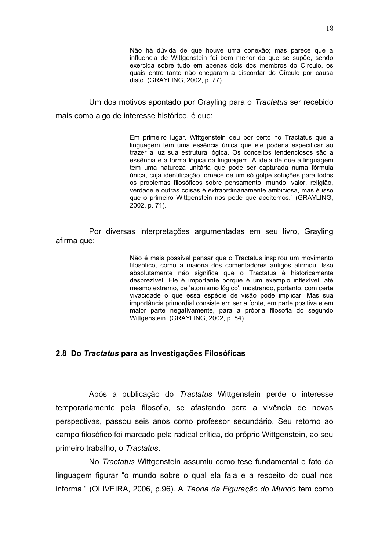Não há dúvida de que houve uma conexão; mas parece que a influencia de Wittgenstein foi bem menor do que se supõe, sendo exercida sobre tudo em apenas dois dos membros do Círculo, os quais entre tanto não chegaram a discordar do Círculo por causa disto. (GRAYLING, 2002, p. 77).

Um dos motivos apontado por Grayling para o Tractatus ser recebido mais como algo de interesse histórico, é que:

> Em primeiro lugar, Wittgenstein deu por certo no Tractatus que a linguagem tem uma essência única que ele poderia especificar ao trazer a luz sua estrutura lógica. Os conceitos tendenciosos são a essência e a forma lógica da linguagem. A ideia de que a linguagem tem uma natureza unitária que pode ser capturada numa fórmula única, cuja identificação fornece de um só golpe soluções para todos os problemas filosóficos sobre pensamento, mundo, valor, religião, verdade e outras coisas é extraordinariamente ambiciosa, mas é isso que o primeiro Wittgenstein nos pede que aceitemos." (GRAYLING, 2002, p. 71).

Por diversas interpretações argumentadas em seu livro, Grayling afirma que:

> Não é mais possível pensar que o Tractatus inspirou um movimento filosófico, como a maioria dos comentadores antigos afirmou. Isso absolutamente não significa que o Tractatus é historicamente desprezível. Ele é importante porque é um exemplo inflexível, até mesmo extremo, de 'atomismo lógico', mostrando, portanto, com certa vivacidade o que essa espécie de visão pode implicar. Mas sua importância primordial consiste em ser a fonte, em parte positiva e em maior parte negativamente, para a própria filosofia do segundo Wittgenstein. (GRAYLING, 2002, p. 84).

#### 2.8 Do Tractatus para as Investigações Filosóficas

Após a publicação do Tractatus Wittgenstein perde o interesse temporariamente pela filosofia, se afastando para a vivência de novas perspectivas, passou seis anos como professor secundário. Seu retorno ao campo filosófico foi marcado pela radical crítica, do próprio Wittgenstein, ao seu primeiro trabalho, o Tractatus.

No Tractatus Wittgenstein assumiu como tese fundamental o fato da linguagem figurar "o mundo sobre o qual ela fala e a respeito do qual nos informa." (OLIVEIRA, 2006, p.96). A Teoria da Figuração do Mundo tem como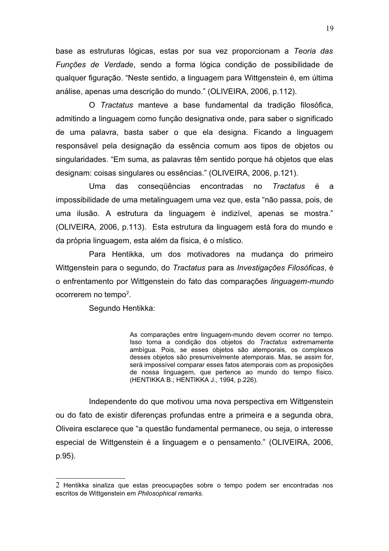base as estruturas lógicas, estas por sua vez proporcionam a Teoria das Funções de Verdade, sendo a forma lógica condição de possibilidade de qualquer figuração. "Neste sentido, a linguagem para Wittgenstein é, em última análise, apenas uma descrição do mundo." (OLIVEIRA, 2006, p.112).

O Tractatus manteve a base fundamental da tradição filosófica, admitindo a linguagem como função designativa onde, para saber o significado de uma palavra, basta saber o que ela designa. Ficando a linguagem responsável pela designação da essência comum aos tipos de objetos ou singularidades. "Em suma, as palavras têm sentido porque há objetos que elas designam: coisas singulares ou essências." (OLIVEIRA, 2006, p.121).

das conseqüências encontradas Uma no Tractatus é a impossibilidade de uma metalinguagem uma vez que, esta "não passa, pois, de uma ilusão. A estrutura da linguagem é indizível, apenas se mostra." (OLIVEIRA, 2006, p.113). Esta estrutura da linguagem está fora do mundo e da própria linguagem, esta além da física, é o místico.

Para Hentikka, um dos motivadores na mudança do primeiro Wittgenstein para o segundo, do Tractatus para as Investigações Filosóficas, é o enfrentamento por Wittgenstein do fato das comparações linguagem-mundo ocorrerem no tempo<sup>2</sup>.

Segundo Hentikka:

As comparações entre linguagem-mundo devem ocorrer no tempo. Isso torna a condição dos objetos do Tractatus extremamente ambígua. Pois, se esses objetos são atemporais, os complexos desses objetos são presumivelmente atemporais. Mas, se assim for, será impossível comparar esses fatos atemporais com as proposições de nossa linguagem, que pertence ao mundo do tempo físico. (HENTIKKA B.; HENTIKKA J., 1994, p.226).

Independente do que motivou uma nova perspectiva em Wittgenstein ou do fato de existir diferenças profundas entre a primeira e a segunda obra, Oliveira esclarece que "a questão fundamental permanece, ou seja, o interesse especial de Wittgenstein é a linguagem e o pensamento." (OLIVEIRA, 2006, p.95).

<sup>2</sup> Hentikka sinaliza que estas preocupações sobre o tempo podem ser encontradas nos escritos de Wittgenstein em Philosophical remarks.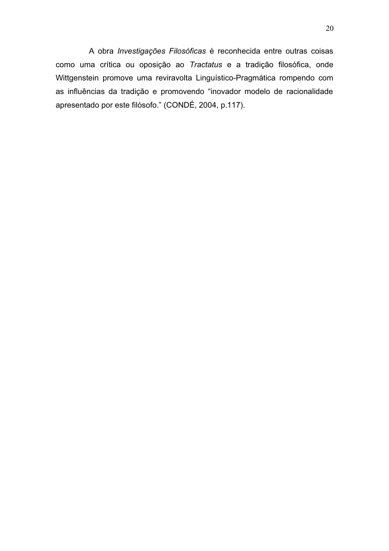A obra Investigações Filosóficas é reconhecida entre outras coisas como uma crítica ou oposição ao Tractatus e a tradição filosófica, onde Wittgenstein promove uma reviravolta Linguístico-Pragmática rompendo com as influências da tradição e promovendo "inovador modelo de racionalidade apresentado por este filósofo." (CONDÉ, 2004, p.117).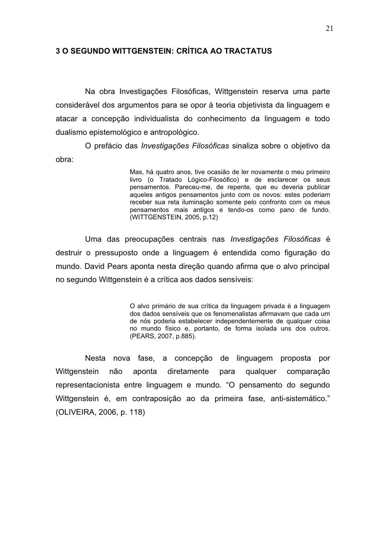#### **3 O SEGUNDO WITTGENSTEIN: CRÍTICA AO TRACTATUS**

Na obra Investigações Filosóficas, Wittgenstein reserva uma parte considerável dos argumentos para se opor à teoria objetivista da linguagem e atacar a concepção individualista do conhecimento da linguagem e todo dualismo epistemológico e antropológico.

O prefácio das *Investigações Filosóficas* sinaliza sobre o objetivo da obra:

> Mas, há quatro anos, tive ocasião de ler novamente o meu primeiro livro (o Tratado Lógico-Filosófico) e de esclarecer os seus pensamentos. Pareceu-me, de repente, que eu deveria publicar aqueles antigos pensamentos junto com os novos: estes poderiam receber sua reta iluminação somente pelo confronto com os meus pensamentos mais antigos e tendo-os como pano de fundo. (WITTGENSTEIN, 2005, p.12)

Uma das preocupações centrais nas Investigações Filosóficas é destruir o pressuposto onde a linguagem é entendida como figuração do mundo. David Pears aponta nesta direção quando afirma que o alvo principal no segundo Wittgenstein é a crítica aos dados sensíveis:

> O alvo primário de sua crítica da linguagem privada é a linguagem dos dados sensíveis que os fenomenalistas afirmavam que cada um de nós poderia estabelecer independentemente de qualquer coisa no mundo físico e, portanto, de forma isolada uns dos outros. (PEARS, 2007, p.885).

Nesta nova fase, a concepção de linguagem proposta por Wittgenstein não aponta diretamente qualquer comparação para representacionista entre linguagem e mundo. "O pensamento do segundo Wittgenstein é, em contraposição ao da primeira fase, anti-sistemático." (OLIVEIRA, 2006, p. 118)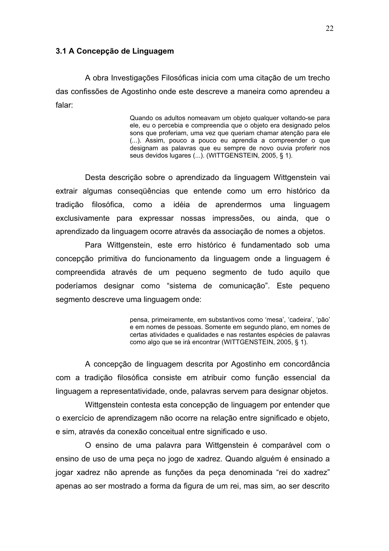#### 3.1 A Concepção de Linguagem

A obra Investigações Filosóficas inicia com uma citação de um trecho das confissões de Agostinho onde este descreve a maneira como aprendeu a falar:

> Quando os adultos nomeavam um objeto qualquer voltando-se para ele, eu o percebia e compreendia que o objeto era designado pelos sons que proferiam, uma vez que queriam chamar atenção para ele (...). Assim, pouco a pouco eu aprendia a compreender o que designam as palavras que eu sempre de novo ouvia proferir nos seus devidos lugares (...). (WITTGENSTEIN, 2005, § 1).

Desta descrição sobre o aprendizado da linguagem Wittgenstein vai extrair algumas consegüências que entende como um erro histórico da tradicão filosófica, como a idéia de aprendermos uma linguagem exclusivamente para expressar nossas impressões, ou ainda, que o aprendizado da linguagem ocorre através da associação de nomes a objetos.

Para Wittgenstein, este erro histórico é fundamentado sob uma concepção primitiva do funcionamento da linguagem onde a linguagem é compreendida através de um pequeno segmento de tudo aquilo que poderíamos designar como "sistema de comunicação". Este pequeno segmento descreve uma linguagem onde:

> pensa, primeiramente, em substantivos como 'mesa', 'cadeira', 'pão' e em nomes de pessoas. Somente em segundo plano, em nomes de certas atividades e qualidades e nas restantes espécies de palavras como algo que se irá encontrar (WITTGENSTEIN, 2005, § 1).

A concepção de linguagem descrita por Agostinho em concordância com a tradição filosófica consiste em atribuir como função essencial da linguagem a representatividade, onde, palavras servem para designar objetos.

Wittgenstein contesta esta concepção de linguagem por entender que o exercício de aprendizagem não ocorre na relação entre significado e objeto, e sim, através da conexão conceitual entre significado e uso.

O ensino de uma palavra para Wittgenstein é comparável com o ensino de uso de uma peça no jogo de xadrez. Quando alguém é ensinado a jogar xadrez não aprende as funções da peça denominada "rei do xadrez" apenas ao ser mostrado a forma da figura de um rei, mas sim, ao ser descrito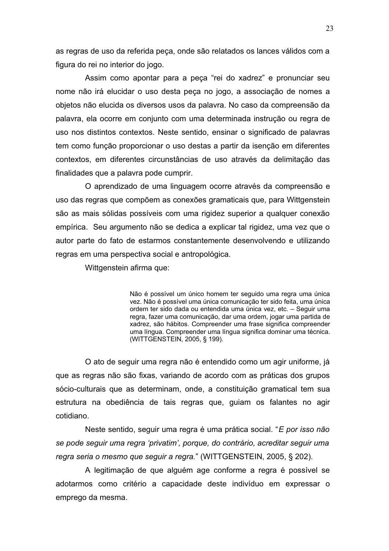as regras de uso da referida peça, onde são relatados os lances válidos com a figura do rei no interior do jogo.

Assim como apontar para a peça "rei do xadrez" e pronunciar seu nome não irá elucidar o uso desta peça no jogo, a associação de nomes a objetos não elucida os diversos usos da palavra. No caso da compreensão da palavra, ela ocorre em conjunto com uma determinada instrução ou regra de uso nos distintos contextos. Neste sentido, ensinar o significado de palavras tem como função proporcionar o uso destas a partir da isenção em diferentes contextos, em diferentes circunstâncias de uso através da delimitação das finalidades que a palavra pode cumprir.

O aprendizado de uma linguagem ocorre através da compreensão e uso das regras que compõem as conexões gramaticais que, para Wittgenstein são as mais sólidas possíveis com uma rigidez superior a qualquer conexão empírica. Seu argumento não se dedica a explicar tal rigidez, uma vez que o autor parte do fato de estarmos constantemente desenvolvendo e utilizando regras em uma perspectiva social e antropológica.

Wittgenstein afirma que:

Não é possível um único homem ter seguido uma regra uma única vez. Não é possível uma única comunicação ter sido feita, uma única ordem ter sido dada ou entendida uma única vez, etc. - Seguir uma regra, fazer uma comunicação, dar uma ordem, jogar uma partida de xadrez, são hábitos. Compreender uma frase significa compreender uma língua. Compreender uma língua significa dominar uma técnica. (WITTGENSTEIN, 2005, § 199).

O ato de seguir uma regra não é entendido como um agir uniforme, já que as regras não são fixas, variando de acordo com as práticas dos grupos sócio-culturais que as determinam, onde, a constituição gramatical tem sua estrutura na obediência de tais regras que, guiam os falantes no agir cotidiano.

Neste sentido, seguir uma regra é uma prática social. "E por isso não se pode seguir uma regra 'privatim', porque, do contrário, acreditar seguir uma regra seria o mesmo que seguir a regra." (WITTGENSTEIN, 2005, § 202).

A legitimação de que alguém age conforme a regra é possível se adotarmos como critério a capacidade deste indivíduo em expressar o emprego da mesma.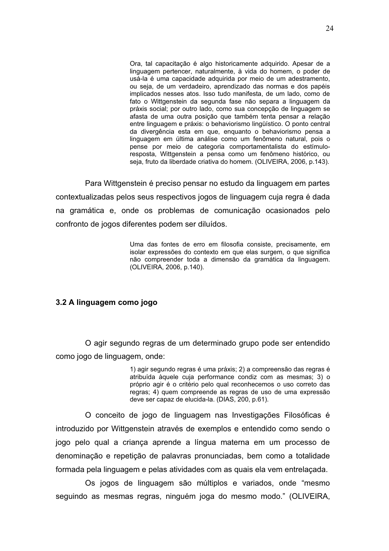Ora, tal capacitação é algo historicamente adquirido. Apesar de a linguagem pertencer, naturalmente, à vida do homem, o poder de usá-la é uma capacidade adquirida por meio de um adestramento. ou seja, de um verdadeiro, aprendizado das normas e dos papéis implicados nesses atos. Isso tudo manifesta, de um lado, como de fato o Wittgenstein da segunda fase não separa a linguagem da práxis social; por outro lado, como sua concepção de linguagem se afasta de uma outra posição que também tenta pensar a relação entre linguagem e práxis: o behaviorismo lingüístico. O ponto central da divergência esta em que, enquanto o behaviorismo pensa a linguagem em última análise como um fenômeno natural, pois o pense por meio de categoria comportamentalista do estímuloresposta, Wittgenstein a pensa como um fenômeno histórico, ou seja, fruto da liberdade criativa do homem. (OLIVEIRA, 2006, p.143).

Para Wittgenstein é preciso pensar no estudo da linguagem em partes contextualizadas pelos seus respectivos jogos de linguagem cuja regra é dada na gramática e, onde os problemas de comunicação ocasionados pelo confronto de jogos diferentes podem ser diluídos.

> Uma das fontes de erro em filosofia consiste, precisamente, em isolar expressões do contexto em que elas surgem, o que significa não compreender toda a dimensão da gramática da linguagem. (OLIVEIRA, 2006, p.140).

#### 3.2 A linguagem como jogo

O agir segundo regras de um determinado grupo pode ser entendido como jogo de linguagem, onde:

> 1) agir segundo regras é uma práxis: 2) a compreensão das regras é atribuída àquele cuia performance condiz com as mesmas: 3) o próprio agir é o critério pelo qual reconhecemos o uso correto das regras; 4) quem compreende as regras de uso de uma expressão deve ser capaz de elucida-la. (DIAS, 200, p.61).

O conceito de jogo de linguagem nas Investigações Filosóficas é introduzido por Wittgenstein através de exemplos e entendido como sendo o jogo pelo qual a criança aprende a língua materna em um processo de denominação e repetição de palavras pronunciadas, bem como a totalidade formada pela linguagem e pelas atividades com as quais ela vem entrelacada.

Os jogos de linguagem são múltiplos e variados, onde "mesmo seguindo as mesmas regras, ninguém joga do mesmo modo." (OLIVEIRA,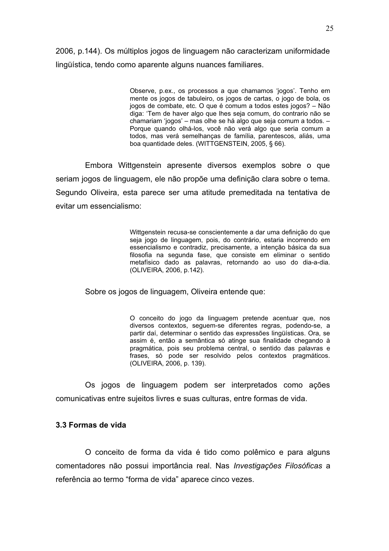2006, p.144). Os múltiplos jogos de linguagem não caracterizam uniformidade lingüística, tendo como aparente alguns nuances familiares.

> Observe, p.ex., os processos a que chamamos 'jogos'. Tenho em mente os jogos de tabuleiro, os jogos de cartas, o jogo de bola, os jogos de combate, etc. O que é comum a todos estes jogos? - Não diga: 'Tem de haver algo que lhes seja comum, do contrario não se chamariam 'iogos' – mas olhe se há algo que seja comum a todos. – Porque quando olhá-los, você não verá algo que seria comum a todos, mas verá semelhanças de família, parentescos, aliás, uma boa quantidade deles. (WITTGENSTEIN, 2005, § 66).

Embora Wittgenstein apresente diversos exemplos sobre o que seriam jogos de linguagem, ele não propõe uma definição clara sobre o tema. Segundo Oliveira, esta parece ser uma atitude premeditada na tentativa de evitar um essencialismo:

> Wittgenstein recusa-se conscientemente a dar uma definição do que seja jogo de linguagem, pois, do contrário, estaria incorrendo em essencialismo e contradiz, precisamente, a intenção básica da sua filosofia na segunda fase, que consiste em eliminar o sentido metafísico dado as palavras, retornando ao uso do dia-a-dia. (OLIVEIRA, 2006, p.142).

Sobre os jogos de linguagem, Oliveira entende que:

O conceito do jogo da linguagem pretende acentuar que, nos diversos contextos, seguem-se diferentes regras, podendo-se, a partir daí, determinar o sentido das expressões lingüísticas. Ora, se assim é, então a semântica só atinge sua finalidade chegando à pragmática, pois seu problema central, o sentido das palavras e frases, só pode ser resolvido pelos contextos pragmáticos. (OLIVEIRA, 2006, p. 139).

Os jogos de linguagem podem ser interpretados como ações comunicativas entre sujeitos livres e suas culturas, entre formas de vida.

#### 3.3 Formas de vida

O conceito de forma da vida é tido como polêmico e para alguns comentadores não possui importância real. Nas Investigações Filosóficas a referência ao termo "forma de vida" aparece cinco vezes.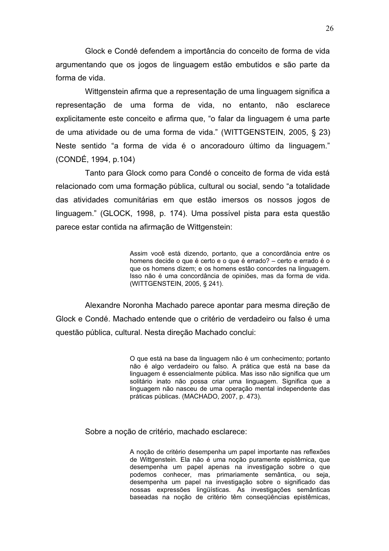Glock e Condé defendem a importância do conceito de forma de vida argumentando que os jogos de linguagem estão embutidos e são parte da forma de vida.

Wittgenstein afirma que a representação de uma linguagem significa a representação de uma forma de vida, no entanto, não esclarece explicitamente este conceito e afirma que, "o falar da linguagem é uma parte de uma atividade ou de uma forma de vida." (WITTGENSTEIN, 2005, § 23) Neste sentido "a forma de vida é o ancoradouro último da linguagem." (CONDÉ, 1994, p.104)

Tanto para Glock como para Condé o conceito de forma de vida está relacionado com uma formação pública, cultural ou social, sendo "a totalidade das atividades comunitárias em que estão imersos os nossos jogos de linguagem." (GLOCK, 1998, p. 174). Uma possível pista para esta questão parece estar contida na afirmação de Wittgenstein:

> Assim você está dizendo, portanto, que a concordância entre os homens decide o que é certo e o que é errado? - certo e errado é o que os homens dizem; e os homens estão concordes na linguagem. Isso não é uma concordância de opiniões, mas da forma de vida. (WITTGENSTEIN, 2005, § 241).

Alexandre Noronha Machado parece apontar para mesma direcão de Glock e Condé. Machado entende que o critério de verdadeiro ou falso é uma questão pública, cultural. Nesta direção Machado conclui:

> O que está na base da linguagem não é um conhecimento; portanto não é algo verdadeiro ou falso. A prática que está na base da linguagem é essencialmente pública. Mas isso não significa que um solitário inato não possa criar uma linguagem. Significa que a linguagem não nasceu de uma operação mental independente das práticas públicas. (MACHADO, 2007, p. 473).

Sobre a noção de critério, machado esclarece:

A noção de critério desempenha um papel importante nas reflexões de Wittgenstein. Ela não é uma noção puramente epistêmica, que desempenha um papel apenas na investigação sobre o que podemos conhecer, mas primariamente semântica, ou seja, desempenha um papel na investigação sobre o significado das nossas expressões lingüísticas. As investigações semânticas baseadas na noção de critério têm consequências epistêmicas,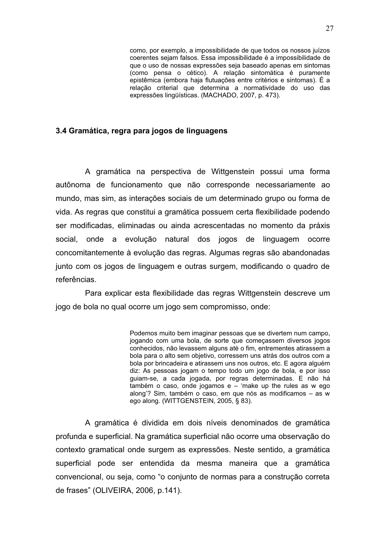como, por exemplo, a impossibilidade de que todos os nossos juízos coerentes sejam falsos. Essa impossibilidade é a impossibilidade de que o uso de nossas expressões seja baseado apenas em sintomas (como pensa o cético). A relação sintomática é puramente epistêmica (embora haja flutuações entre critérios e sintomas). É a relação criterial que determina a normatividade do uso das expressões lingüísticas. (MACHADO, 2007, p. 473).

#### 3.4 Gramática, regra para jogos de linguagens

A gramática na perspectiva de Wittgenstein possui uma forma autônoma de funcionamento que não corresponde necessariamente ao mundo, mas sim, as interações sociais de um determinado grupo ou forma de vida. As regras que constitui a gramática possuem certa flexibilidade podendo ser modificadas, eliminadas ou ainda acrescentadas no momento da práxis social, onde a evolução natural dos jogos de linguagem ocorre concomitantemente à evolução das regras. Algumas regras são abandonadas junto com os jogos de linguagem e outras surgem, modificando o quadro de referências.

Para explicar esta flexibilidade das regras Wittgenstein descreve um jogo de bola no qual ocorre um jogo sem compromisso, onde:

> Podemos muito bem imaginar pessoas que se divertem num campo, jogando com uma bola, de sorte que comecassem diversos jogos conhecidos. não levassem alguns até o fim. entrementes atirassem a bola para o alto sem objetivo, corressem uns atrás dos outros com a bola por brincadeira e atirassem uns nos outros, etc. E agora alquém diz: As pessoas jogam o tempo todo um jogo de bola, e por isso quiam-se, a cada jogada, por regras determinadas. E não há também o caso, onde jogamos e - 'make up the rules as w ego along'? Sim, também o caso, em que nós as modificamos - as w ego along. (WITTGENSTEIN, 2005, § 83).

A gramática é dividida em dois níveis denominados de gramática profunda e superficial. Na gramática superficial não ocorre uma observação do contexto gramatical onde surgem as expressões. Neste sentido, a gramática superficial pode ser entendida da mesma maneira que a gramática convencional, ou seja, como "o conjunto de normas para a construção correta de frases" (OLIVEIRA, 2006, p.141).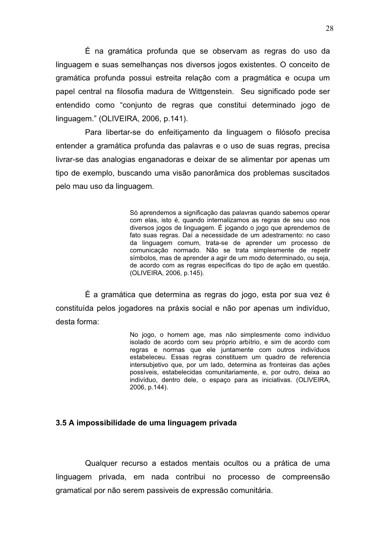É na gramática profunda que se observam as regras do uso da linguagem e suas semelhanças nos diversos jogos existentes. O conceito de gramática profunda possui estreita relação com a pragmática e ocupa um papel central na filosofia madura de Wittgenstein. Seu significado pode ser entendido como "conjunto de regras que constitui determinado jogo de linguagem." (OLIVEIRA, 2006, p.141).

Para libertar-se do enfeiticamento da linguagem o filósofo precisa entender a gramática profunda das palavras e o uso de suas regras, precisa livrar-se das analogias enganadoras e deixar de se alimentar por apenas um tipo de exemplo, buscando uma visão panorâmica dos problemas suscitados pelo mau uso da linguagem.

> Só aprendemos a significação das palavras quando sabemos operar com elas, isto é, quando internalizamos as regras de seu uso nos diversos jogos de linguagem. É jogando o jogo que aprendemos de fato suas regras. Daí a necessidade de um adestramento: no caso da linguagem comum, trata-se de aprender um processo de comunicação normado. Não se trata simplesmente de repetir símbolos, mas de aprender a agir de um modo determinado, ou seja, de acordo com as regras específicas do tipo de ação em questão. (OLIVEIRA, 2006, p.145).

É a gramática que determina as regras do jogo, esta por sua vez é constituída pelos jogadores na práxis social e não por apenas um indivíduo. desta forma:

> No jogo, o homem age, mas não simplesmente como individuo isolado de acordo com seu próprio arbítrio, e sim de acordo com regras e normas que ele juntamente com outros indivíduos estabeleceu. Essas regras constituem um quadro de referencia intersubjetivo que, por um lado, determina as fronteiras das ações possíveis, estabelecidas comunitariamente, e, por outro, deixa ao indivíduo, dentro dele, o espaço para as iniciativas. (OLIVEIRA, 2006, p.144).

#### 3.5 A impossibilidade de uma linguagem privada

Qualquer recurso a estados mentais ocultos ou a prática de uma linguagem privada, em nada contribui no processo de compreensão gramatical por não serem passiveis de expressão comunitária.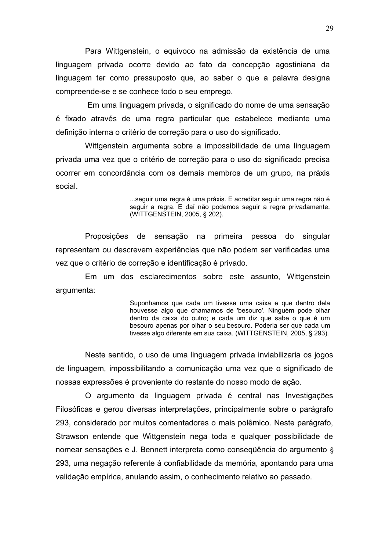Para Wittgenstein, o equivoco na admissão da existência de uma linguagem privada ocorre devido ao fato da concepção agostiniana da linguagem ter como pressuposto que, ao saber o que a palavra designa compreende-se e se conhece todo o seu emprego.

Em uma linguagem privada, o significado do nome de uma sensação é fixado através de uma regra particular que estabelece mediante uma definição interna o critério de correção para o uso do significado.

Wittgenstein argumenta sobre a impossibilidade de uma linguagem privada uma vez que o critério de correção para o uso do significado precisa ocorrer em concordância com os demais membros de um grupo, na práxis social.

> ...seguir uma regra é uma práxis. E acreditar seguir uma regra não é seguir a regra. E daí não podemos seguir a regra privadamente. (WITTGENSTEIN, 2005, § 202).

Proposições de sensação na primeira pessoa do singular representam ou descrevem experiências que não podem ser verificadas uma vez que o critério de correção e identificação é privado.

Em um dos esclarecimentos sobre este assunto, Wittgenstein argumenta:

> Suponhamos que cada um tivesse uma caixa e que dentro dela houvesse algo que chamamos de 'besouro'. Ninguém pode olhar dentro da caixa do outro; e cada um diz que sabe o que é um besouro apenas por olhar o seu besouro. Poderia ser que cada um tivesse algo diferente em sua caixa. (WITTGENSTEIN, 2005, § 293).

Neste sentido, o uso de uma linguagem privada inviabilizaria os jogos de linguagem, impossibilitando a comunicação uma vez que o significado de nossas expressões é proveniente do restante do nosso modo de ação.

O argumento da linguagem privada é central nas Investigações Filosóficas e gerou diversas interpretações, principalmente sobre o parágrafo 293, considerado por muitos comentadores o mais polêmico. Neste parágrafo, Strawson entende que Wittgenstein nega toda e qualquer possibilidade de nomear sensações e J. Bennett interpreta como consegüência do argumento § 293, uma negação referente à confiabilidade da memória, apontando para uma validação empírica, anulando assim, o conhecimento relativo ao passado.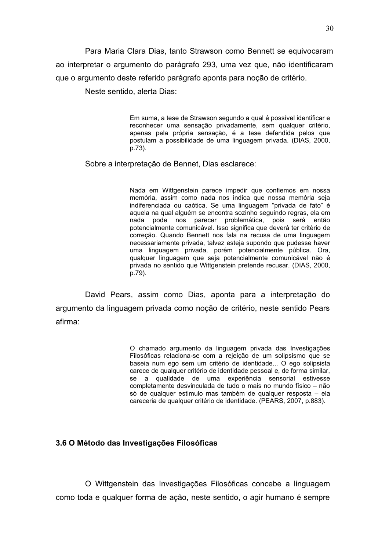Para Maria Clara Dias, tanto Strawson como Bennett se equivocaram ao interpretar o argumento do parágrafo 293, uma vez que, não identificaram que o argumento deste referido parágrafo aponta para noção de critério.

Neste sentido, alerta Dias:

Em suma, a tese de Strawson segundo a qual é possível identificar e reconhecer uma sensação privadamente, sem qualquer critério, apenas pela própria sensação, é a tese defendida pelos que postulam a possibilidade de uma linguagem privada. (DIAS, 2000, p.73).

Sobre a interpretação de Bennet, Dias esclarece:

Nada em Wittgenstein parece impedir que confiemos em nossa memória, assim como nada nos indica que nossa memória seja indiferenciada ou caótica. Se uma linguagem "privada de fato" é aquela na qual alquém se encontra sozinho sequindo regras, ela em nada pode nos parecer problemática, pois será então potencialmente comunicável. Isso significa que deverá ter critério de correção. Quando Bennett nos fala na recusa de uma linguagem necessariamente privada, talvez esteja supondo que pudesse haver uma linguagem privada, porém potencialmente pública. Ora, qualquer linguagem que seja potencialmente comunicável não é privada no sentido que Wittgenstein pretende recusar. (DIAS, 2000, p.79).

David Pears, assim como Dias, aponta para a interpretação do argumento da linguagem privada como nocão de critério, neste sentido Pears afirma:

> O chamado argumento da linguagem privada das Investigações Filosóficas relaciona-se com a rejeição de um solipsismo que se baseia num ego sem um critério de identidade... O ego solipsista carece de qualquer critério de identidade pessoal e, de forma similar. se a qualidade de uma experiência sensorial estivesse completamente desvinculada de tudo o mais no mundo físico - não só de qualquer estimulo mas também de qualquer resposta - ela careceria de qualquer critério de identidade. (PEARS, 2007, p.883).

#### 3.6 O Método das Investigações Filosóficas

O Wittgenstein das Investigações Filosóficas concebe a linguagem como toda e qualquer forma de acão, neste sentido, o agir humano é sempre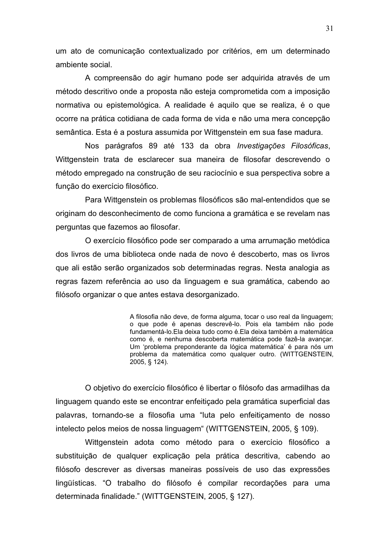um ato de comunicação contextualizado por critérios, em um determinado ambiente social.

A compreensão do agir humano pode ser adquirida através de um método descritivo onde a proposta não esteja comprometida com a imposição normativa ou epistemológica. A realidade é aquilo que se realiza, é o que ocorre na prática cotidiana de cada forma de vida e não uma mera concepção semântica. Esta é a postura assumida por Wittgenstein em sua fase madura.

Nos parágrafos 89 até 133 da obra *Investigações Filosóficas*, Wittgenstein trata de esclarecer sua maneira de filosofar descrevendo o método empregado na construção de seu raciocínio e sua perspectiva sobre a função do exercício filosófico.

Para Wittgenstein os problemas filosóficos são mal-entendidos que se originam do desconhecimento de como funciona a gramática e se revelam nas perguntas que fazemos ao filosofar.

O exercício filosófico pode ser comparado a uma arrumação metódica dos livros de uma biblioteca onde nada de novo é descoberto, mas os livros que ali estão serão organizados sob determinadas regras. Nesta analogia as regras fazem referência ao uso da linguagem e sua gramática, cabendo ao filósofo organizar o que antes estava desorganizado.

> A filosofia não deve, de forma alguma, tocar o uso real da linguagem; o que pode é apenas descrevê-lo. Pois ela também não pode fundamentá-lo. Ela deixa tudo como é. Ela deixa também a matemática como é, e nenhuma descoberta matemática pode fazê-la avançar. Um 'problema preponderante da lógica matemática' é para nós um problema da matemática como qualquer outro. (WITTGENSTEIN, 2005, § 124).

O objetivo do exercício filosófico é libertar o filósofo das armadilhas da linguagem quando este se encontrar enfeitiçado pela gramática superficial das palavras, tornando-se a filosofia uma "luta pelo enfeitiçamento de nosso intelecto pelos meios de nossa linguagem" (WITTGENSTEIN, 2005, § 109).

Wittgenstein adota como método para o exercício filosófico a substituição de qualquer explicação pela prática descritiva, cabendo ao filósofo descrever as diversas maneiras possíveis de uso das expressões lingüísticas. "O trabalho do filósofo é compilar recordações para uma determinada finalidade." (WITTGENSTEIN, 2005, § 127).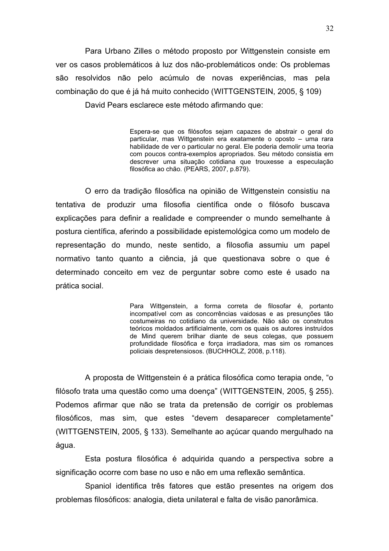Para Urbano Zilles o método proposto por Wittgenstein consiste em ver os casos problemáticos à luz dos não-problemáticos onde: Os problemas são resolvidos não pelo acúmulo de novas experiências, mas pela combinação do que é já há muito conhecido (WITTGENSTEIN, 2005, § 109)

David Pears esclarece este método afirmando que:

Espera-se que os filósofos sejam capazes de abstrair o geral do particular, mas Wittgenstein era exatamente o oposto - uma rara habilidade de ver o particular no geral. Ele poderia demolir uma teoria com poucos contra-exemplos apropriados. Seu método consistia em descrever uma situação cotidiana que trouxesse a especulação filosófica ao chão. (PEARS, 2007, p.879).

O erro da tradição filosófica na opinião de Wittgenstein consistiu na tentativa de produzir uma filosofia científica onde o filósofo buscava explicações para definir a realidade e compreender o mundo semelhante à postura científica, aferindo a possibilidade epistemológica como um modelo de representação do mundo, neste sentido, a filosofia assumiu um papel normativo tanto quanto a ciência, já que questionava sobre o que é determinado conceito em vez de perguntar sobre como este é usado na prática social.

> Para Wittgenstein, a forma correta de filosofar é, portanto incompatível com as concorrências vaidosas e as presunções tão costumeiras no cotidiano da universidade. Não são os construtos teóricos moldados artificialmente, com os quais os autores instruídos de Mind querem brilhar diante de seus colegas, que possuem profundidade filosófica e forca irradiadora, mas sim os romances policiais despretensiosos. (BUCHHOLZ, 2008, p.118).

A proposta de Wittgenstein é a prática filosófica como terapia onde, "o filósofo trata uma questão como uma doença" (WITTGENSTEIN, 2005, § 255). Podemos afirmar que não se trata da pretensão de corrigir os problemas filosóficos, mas sim, que estes "devem desaparecer completamente" (WITTGENSTEIN, 2005, § 133). Semelhante ao açúcar quando mergulhado na água.

Esta postura filosófica é adquirida quando a perspectiva sobre a significação ocorre com base no uso e não em uma reflexão semântica.

Spaniol identifica três fatores que estão presentes na origem dos problemas filosóficos: analogia, dieta unilateral e falta de visão panorâmica.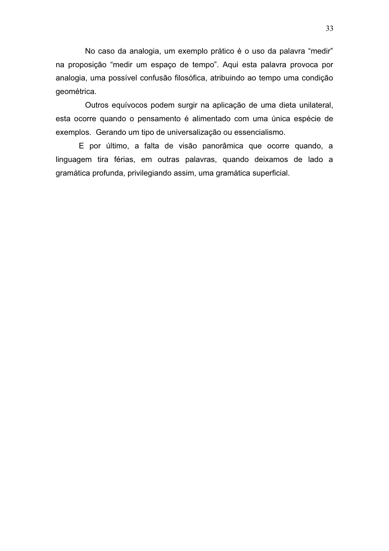No caso da analogia, um exemplo prático é o uso da palavra "medir" na proposição "medir um espaço de tempo". Aqui esta palavra provoca por analogia, uma possível confusão filosófica, atribuindo ao tempo uma condição geométrica.

Outros equívocos podem surgir na aplicação de uma dieta unilateral, esta ocorre quando o pensamento é alimentado com uma única espécie de exemplos. Gerando um tipo de universalização ou essencialismo.

E por último, a falta de visão panorâmica que ocorre quando, a linguagem tira férias, em outras palavras, quando deixamos de lado a gramática profunda, privilegiando assim, uma gramática superficial.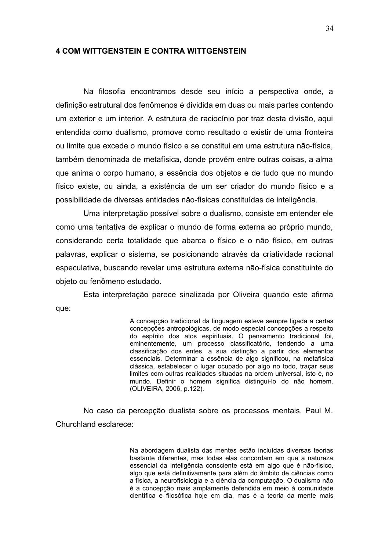#### **4 COM WITTGENSTEIN E CONTRA WITTGENSTEIN**

Na filosofia encontramos desde seu início a perspectiva onde, a definição estrutural dos fenômenos é dividida em duas ou mais partes contendo um exterior e um interior. A estrutura de raciocínio por traz desta divisão, aqui entendida como dualismo, promove como resultado o existir de uma fronteira ou limite que excede o mundo físico e se constitui em uma estrutura não-física, também denominada de metafísica, donde provém entre outras coisas, a alma que anima o corpo humano, a essência dos objetos e de tudo que no mundo físico existe, ou ainda, a existência de um ser criador do mundo físico e a possibilidade de diversas entidades não-físicas constituídas de inteligência.

Uma interpretação possível sobre o dualismo, consiste em entender ele como uma tentativa de explicar o mundo de forma externa ao próprio mundo. considerando certa totalidade que abarca o físico e o não físico, em outras palavras, explicar o sistema, se posicionando através da criatividade racional especulativa, buscando revelar uma estrutura externa não-física constituinte do objeto ou fenômeno estudado.

Esta interpretação parece sinalizada por Oliveira quando este afirma que:

> A concepção tradicional da linguagem esteve sempre ligada a certas concepções antropológicas, de modo especial concepções a respeito do espírito dos atos espirituais. O pensamento tradicional foi, eminentemente, um processo classificatório, tendendo a uma classificação dos entes, a sua distinção a partir dos elementos essenciais. Determinar a essência de algo significou, na metafísica clássica, estabelecer o lugar ocupado por algo no todo, traçar seus limites com outras realidades situadas na ordem universal, isto é, no mundo. Definir o homem significa distingui-lo do não homem. (OLIVEIRA, 2006, p.122).

No caso da percepção dualista sobre os processos mentais, Paul M. Churchland esclarece:

> Na abordagem dualista das mentes estão incluídas diversas teorias bastante diferentes, mas todas elas concordam em que a natureza essencial da inteligência consciente está em algo que é não-físico, algo que está definitivamente para além do âmbito de ciências como a física, a neurofisiologia e a ciência da computação. O dualismo não é a concepção mais amplamente defendida em meio à comunidade científica e filosófica hoje em dia, mas é a teoria da mente mais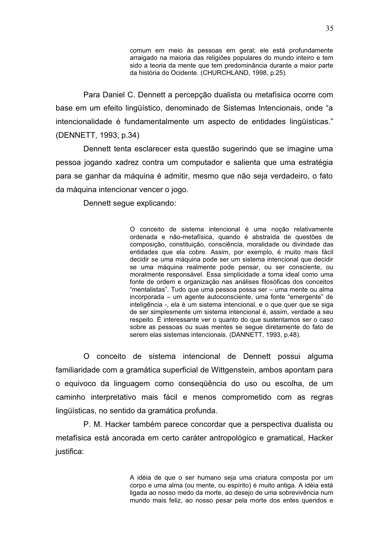comum em meio às pessoas em geral; ele está profundamente arraigado na maioria das religiões populares do mundo inteiro e tem sido a teoria da mente que tem predominância durante a maior parte da história do Ocidente. (CHURCHLAND, 1998, p.25).

Para Daniel C. Dennett a percepção dualista ou metafísica ocorre com base em um efeito lingüístico, denominado de Sistemas Intencionais, onde "a intencionalidade é fundamentalmente um aspecto de entidades lingüísticas." (DENNETT, 1993, p.34)

Dennett tenta esclarecer esta questão sugerindo que se imagine uma pessoa jogando xadrez contra um computador e salienta que uma estratégia para se ganhar da máquina é admitir, mesmo que não seja verdadeiro, o fato da máquina intencionar vencer o jogo.

Dennett seque explicando:

O conceito de sistema intencional é uma noção relativamente ordenada e não-metafísica, quando é abstraída de questões de composição, constituição, consciência, moralidade ou divindade das entidades que ela cobre. Assim, por exemplo, é muito mais fácil decidir se uma máquina pode ser um sistema intencional que decidir se uma máquina realmente pode pensar, ou ser consciente, ou moralmente responsável. Essa simplicidade a torna ideal como uma fonte de ordem e organização nas análises filosóficas dos conceitos "mentalistas". Tudo que uma pessoa possa ser - uma mente ou alma incorporada - um agente autoconsciente, uma fonte "emergente" de inteligência -, ela é um sistema intencional, e o que quer que se siga de ser simplesmente um sistema intencional é, assim, verdade a seu respeito. É interessante ver o quanto do que sustentamos ser o caso sobre as pessoas ou suas mentes se seque diretamente do fato de serem elas sistemas intencionais. (DANNETT, 1993, p.48).

O conceito de sistema intencional de Dennett possui alguma familiaridade com a gramática superficial de Wittgenstein, ambos apontam para o equivoco da linguagem como consegüência do uso ou escolha, de um caminho interpretativo mais fácil e menos comprometido com as regras lingüísticas, no sentido da gramática profunda.

P. M. Hacker também parece concordar que a perspectiva dualista ou metafísica está ancorada em certo caráter antropológico e gramatical, Hacker justifica:

> A idéia de que o ser humano seja uma criatura composta por um corpo e uma alma (ou mente, ou espírito) é muito antiga. A idéia está ligada ao nosso medo da morte, ao desejo de uma sobrevivência num mundo mais feliz, ao nosso pesar pela morte dos entes queridos e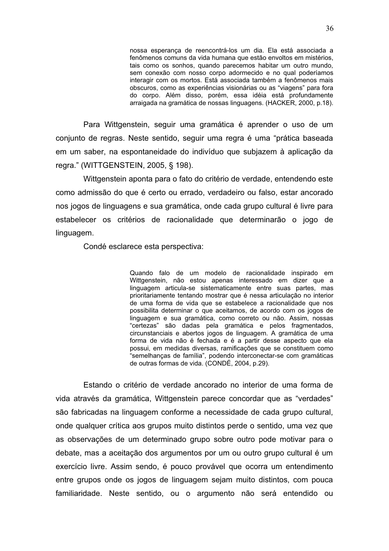nossa esperança de reencontrá-los um dia. Ela está associada a fenômenos comuns da vida humana que estão envoltos em mistérios, tais como os sonhos, quando parecemos habitar um outro mundo, sem conexão com nosso corpo adormecido e no qual poderíamos interagir com os mortos. Está associada também a fenômenos mais obscuros, como as experiências visionárias ou as "viagens" para fora do corpo. Além disso, porém, essa idéia está profundamente arraigada na gramática de nossas linguagens. (HACKER, 2000, p.18).

Para Wittgenstein, seguir uma gramática é aprender o uso de um conjunto de regras. Neste sentido, seguir uma regra é uma "prática baseada em um saber, na espontaneidade do indivíduo que subjazem à aplicação da regra." (WITTGENSTEIN, 2005, § 198).

Wittgenstein aponta para o fato do critério de verdade, entendendo este como admissão do que é certo ou errado, verdadeiro ou falso, estar ancorado nos jogos de linguagens e sua gramática, onde cada grupo cultural é livre para estabelecer os critérios de racionalidade que determinarão o jogo de linguagem.

Condé esclarece esta perspectiva:

Quando falo de um modelo de racionalidade inspirado em Wittgenstein, não estou apenas interessado em dizer que a linguagem articula-se sistematicamente entre suas partes, mas prioritariamente tentando mostrar que é nessa articulação no interior de uma forma de vida que se estabelece a racionalidade que nos possibilita determinar o que aceitamos, de acordo com os jogos de linguagem e sua gramática, como correto ou não. Assim, nossas "certezas" são dadas pela gramática e pelos fragmentados, circunstanciais e abertos jogos de linguagem. A gramática de uma forma de vida não é fechada e é a partir desse aspecto que ela possui, em medidas diversas, ramificações que se constituem como "semelhanças de família", podendo interconectar-se com gramáticas de outras formas de vida. (CONDÉ, 2004, p.29).

Estando o critério de verdade ancorado no interior de uma forma de vida através da gramática, Wittgenstein parece concordar que as "verdades" são fabricadas na linguagem conforme a necessidade de cada grupo cultural, onde qualquer crítica aos grupos muito distintos perde o sentido, uma vez que as observações de um determinado grupo sobre outro pode motivar para o debate, mas a aceitação dos argumentos por um ou outro grupo cultural é um exercício livre. Assim sendo, é pouco provável que ocorra um entendimento entre grupos onde os jogos de linguagem sejam muito distintos, com pouca familiaridade. Neste sentido, ou o argumento não será entendido ou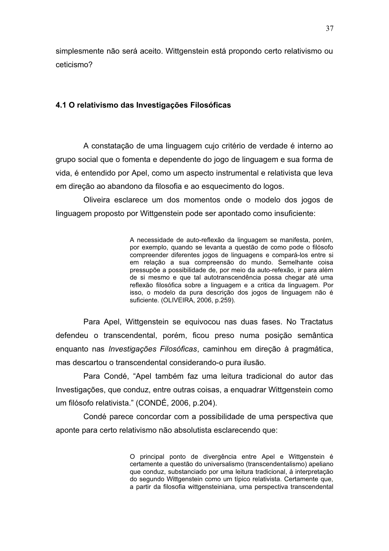simplesmente não será aceito. Wittgenstein está propondo certo relativismo ou ceticismo?

#### 4.1 O relativismo das Investigações Filosóficas

A constatação de uma linguagem cujo critério de verdade é interno ao grupo social que o fomenta e dependente do jogo de linguagem e sua forma de vida, é entendido por Apel, como um aspecto instrumental e relativista que leva em direção ao abandono da filosofia e ao esquecimento do logos.

Oliveira esclarece um dos momentos onde o modelo dos jogos de linguagem proposto por Wittgenstein pode ser apontado como insuficiente:

> A necessidade de auto-reflexão da linguagem se manifesta, porém, por exemplo, quando se levanta a questão de como pode o filósofo compreender diferentes jogos de linguagens e compará-los entre si em relação a sua compreensão do mundo. Semelhante coisa pressupõe a possibilidade de, por meio da auto-refexão, ir para além de si mesmo e que tal autotranscendência possa chegar até uma reflexão filosófica sobre a linguagem e a critica da linguagem. Por isso, o modelo da pura descrição dos jogos de linguagem não é suficiente. (OLIVEIRA, 2006, p.259).

Para Apel, Wittgenstein se equivocou nas duas fases. No Tractatus defendeu o transcendental, porém, ficou preso numa posição semântica enguanto nas *Investigações Filosóficas*, caminhou em direção à pragmática, mas descartou o transcendental considerando-o pura ilusão.

Para Condé, "Apel também faz uma leitura tradicional do autor das Investigações, que conduz, entre outras coisas, a enquadrar Wittgenstein como um filósofo relativista." (CONDÉ, 2006, p.204).

Condé parece concordar com a possibilidade de uma perspectiva que aponte para certo relativismo não absolutista esclarecendo que:

> O principal ponto de divergência entre Apel e Wittgenstein é certamente a questão do universalismo (transcendentalismo) apeliano que conduz, substanciado por uma leitura tradicional, à interpretação do segundo Wittgenstein como um típico relativista. Certamente que. a partir da filosofia wittgensteiniana, uma perspectiva transcendental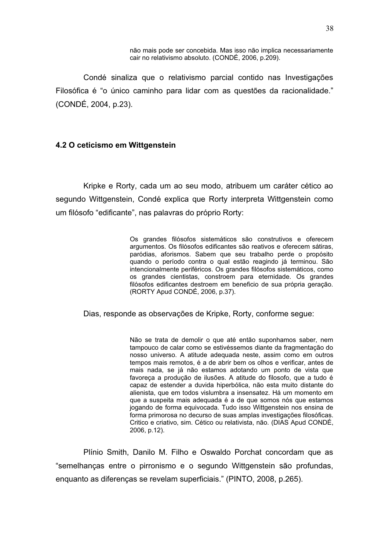não mais pode ser concebida. Mas isso não implica necessariamente cair no relativismo absoluto. (CONDÉ, 2006, p.209).

Condé sinaliza que o relativismo parcial contido nas Investigações Filosófica é "o único caminho para lidar com as questões da racionalidade." (CONDÉ, 2004, p.23).

#### 4.2 O ceticismo em Wittgenstein

Kripke e Rorty, cada um ao seu modo, atribuem um caráter cético ao segundo Wittgenstein, Condé explica que Rorty interpreta Wittgenstein como um filósofo "edificante", nas palavras do próprio Rorty:

> Os grandes filósofos sistemáticos são construtivos e oferecem argumentos. Os filósofos edificantes são reativos e oferecem sátiras, paródias, aforismos. Sabem que seu trabalho perde o propósito quando o período contra o qual estão reagindo já terminou. São intencionalmente periféricos. Os grandes filósofos sistemáticos, como os grandes cientistas, constroem para eternidade. Os grandes filósofos edificantes destroem em beneficio de sua própria geração. (RORTY Apud CONDÉ, 2006, p.37).

Dias, responde as observações de Kripke, Rorty, conforme seque:

Não se trata de demolir o que até então suponhamos saber, nem tampouco de calar como se estivéssemos diante da fragmentação do nosso universo. A atitude adequada neste, assim como em outros tempos mais remotos, é a de abrir bem os olhos e verificar, antes de mais nada, se já não estamos adotando um ponto de vista que favoreca a produção de ilusões. A atitude do filosofo, que a tudo é capaz de estender a duvida hiperbólica, não esta muito distante do alienista, que em todos vislumbra a insensatez. Há um momento em que a suspeita mais adequada é a de que somos nós que estamos jogando de forma equivocada. Tudo isso Wittgenstein nos ensina de forma primorosa no decurso de suas amplas investigações filosóficas. Critico e criativo, sim. Cético ou relativista, não. (DIAS Apud CONDÉ, 2006, p.12).

Plínio Smith, Danilo M. Filho e Oswaldo Porchat concordam que as "semelhanças entre o pirronismo e o segundo Wittgenstein são profundas, enguanto as diferencas se revelam superficiais." (PINTO, 2008, p.265).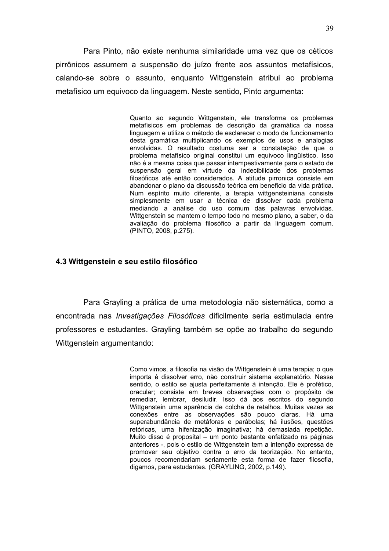Para Pinto, não existe nenhuma similaridade uma vez que os céticos pirrônicos assumem a suspensão do juízo frente aos assuntos metafísicos. calando-se sobre o assunto, enguanto Wittgenstein atribui ao problema metafísico um equivoco da linguagem. Neste sentido, Pinto argumenta:

> Quanto ao segundo Wittgenstein, ele transforma os problemas metafísicos em problemas de descrição da gramática da nossa linguagem e utiliza o método de esclarecer o modo de funcionamento desta gramática multiplicando os exemplos de usos e analogias envolvidas. O resultado costuma ser a constatação de que o problema metafísico original constitui um equivoco lingüístico. Isso não é a mesma coisa que passar intempestivamente para o estado de suspensão geral em virtude da indecibilidade dos problemas filosóficos até então considerados. A atitude pirronica consiste em abandonar o plano da discussão teórica em beneficio da vida prática. Num espírito muito diferente, a terapia wittgensteiniana consiste simplesmente em usar a técnica de dissolver cada problema mediando a análise do uso comum das palavras envolvidas. Wittgenstein se mantem o tempo todo no mesmo plano, a saber, o da avaliação do problema filosófico a partir da linguagem comum. (PINTO, 2008, p.275).

#### 4.3 Wittgenstein e seu estilo filosófico

Para Grayling a prática de uma metodologia não sistemática, como a encontrada nas *Investigações Filosóficas* dificilmente seria estimulada entre professores e estudantes. Grayling também se opõe ao trabalho do segundo Wittgenstein argumentando:

> Como vimos, a filosofia na visão de Wittgenstein é uma terapia; o que importa é dissolver erro, não construir sistema explanatório. Nesse sentido, o estilo se ajusta perfeitamente à intenção. Ele é profético, oracular: consiste em breves observações com o propósito de remediar, lembrar, desiludir. Isso dá aos escritos do segundo Wittgenstein uma aparência de colcha de retalhos. Muitas vezes as conexões entre as observações são pouco claras. Há uma superabundância de metáforas e parábolas; há ilusões, questões retóricas, uma hifenização imaginativa; há demasiada repetição. Muito disso é proposital - um ponto bastante enfatizado ns páginas anteriores -, pois o estilo de Wittgenstein tem a intenção expressa de promover seu objetivo contra o erro da teorização. No entanto, poucos recomendariam seriamente esta forma de fazer filosofia, digamos, para estudantes. (GRAYLING, 2002, p.149).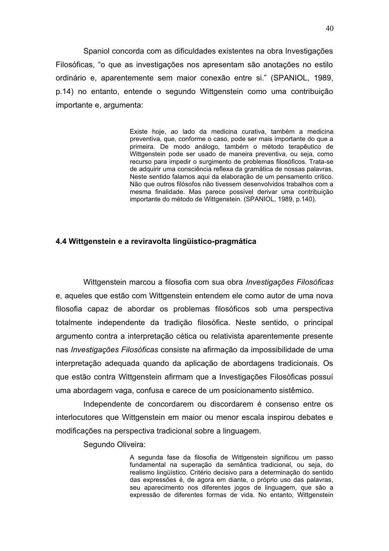Spaniol concorda com as dificuldades existentes na obra Investigações Filosóficas, "o que as investigações nos apresentam são anotações no estilo ordinário e, aparentemente sem maior conexão entre si." (SPANIOL, 1989, p.14) no entanto, entende o segundo Wittgenstein como uma contribuição importante e, argumenta:

> Existe hoje, ao lado da medicina curativa, também a medicina preventiva, que, conforme o caso, pode ser mais importante do que a primeira. De modo análogo, também o método terapêutico de Wittgenstein pode ser usado de maneira preventiva, ou seja, como recurso para impedir o surgimento de problemas filosóficos. Trata-se de adquirir uma consciência reflexa da gramática de nossas palavras. Neste sentido falamos agui da elaboração de um pensamento critico. Não que outros filósofos não tivessem desenvolvidos trabalhos com a mesma finalidade. Mas parece possível derivar uma contribuição importante do método de Wittgenstein. (SPANIOL, 1989, p.140).

#### 4.4 Wittgenstein e a reviravolta lingüístico-pragmática

Wittgenstein marcou a filosofia com sua obra Investigações Filosóficas e, aqueles que estão com Wittgenstein entendem ele como autor de uma nova filosofia capaz de abordar os problemas filosóficos sob uma perspectiva totalmente independente da tradição filosófica. Neste sentido, o principal argumento contra a interpretação cética ou relativista aparentemente presente nas Investigações Filosóficas consiste na afirmação da impossibilidade de uma interpretação adequada quando da aplicação de abordagens tradicionais. Os que estão contra Wittgenstein afirmam que a Investigações Filosóficas possuí uma abordagem vaga, confusa e carece de um posicionamento sistêmico.

Independente de concordarem ou discordarem é consenso entre os interlocutores que Wittgenstein em maior ou menor escala inspirou debates e modificações na perspectiva tradicional sobre a linguagem.

Segundo Oliveira:

A segunda fase da filosofia de Wittgenstein significou um passo fundamental na superação da semântica tradicional, ou seja, do realismo lingüístico. Critério decisivo para a determinação do sentido das expressões é, de agora em diante, o próprio uso das palavras, seu aparecimento nos diferentes jogos de linguagem, que são a expressão de diferentes formas de vida. No entanto, Wittgenstein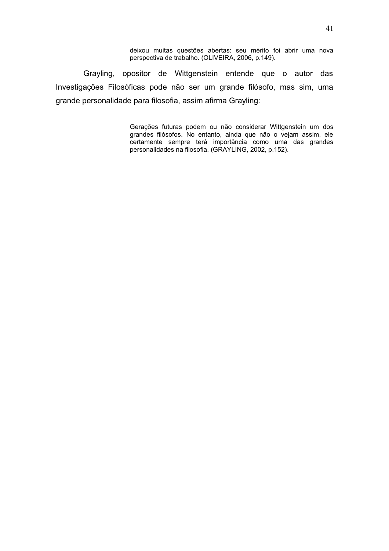deixou muitas questões abertas: seu mérito foi abrir uma nova perspectiva de trabalho. (OLIVEIRA, 2006, p.149).

Grayling, opositor de Wittgenstein entende que o autor das Investigações Filosóficas pode não ser um grande filósofo, mas sim, uma grande personalidade para filosofia, assim afirma Grayling:

> Gerações futuras podem ou não considerar Wittgenstein um dos grandes filósofos. No entanto, ainda que não o vejam assim, ele certamente sempre terá importância como uma das grandes personalidades na filosofia. (GRAYLING, 2002, p.152).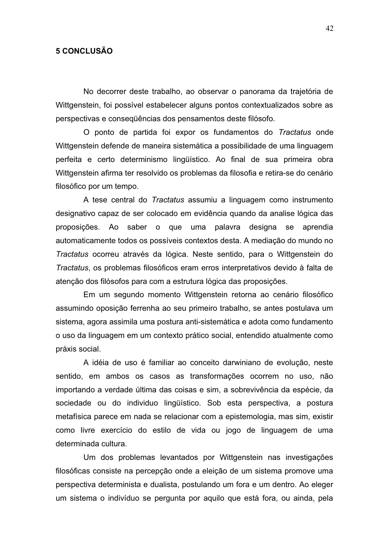### **5 CONCLUSÃO**

No decorrer deste trabalho, ao observar o panorama da trajetória de Wittgenstein, foi possível estabelecer alguns pontos contextualizados sobre as perspectivas e conseqüências dos pensamentos deste filósofo.

O ponto de partida foi expor os fundamentos do Tractatus onde Wittgenstein defende de maneira sistemática a possibilidade de uma linguagem perfeita e certo determinismo lingüístico. Ao final de sua primeira obra Wittgenstein afirma ter resolvido os problemas da filosofia e retira-se do cenário filosófico por um tempo.

A tese central do Tractatus assumiu a linguagem como instrumento designativo capaz de ser colocado em evidência quando da analise lógica das proposições. Ao saber o que uma palavra designa se aprendia automaticamente todos os possíveis contextos desta. A mediação do mundo no Tractatus ocorreu através da lógica. Neste sentido, para o Wittgenstein do Tractatus, os problemas filosóficos eram erros interpretativos devido à falta de atenção dos filósofos para com a estrutura lógica das proposições.

Em um segundo momento Wittgenstein retorna ao cenário filosófico assumindo oposição ferrenha ao seu primeiro trabalho, se antes postulava um sistema, agora assimila uma postura anti-sistemática e adota como fundamento o uso da linguagem em um contexto prático social, entendido atualmente como práxis social.

A idéia de uso é familiar ao conceito darwiniano de evolução, neste sentido, em ambos os casos as transformações ocorrem no uso, não importando a verdade última das coisas e sim, a sobrevivência da espécie, da sociedade ou do individuo lingüístico. Sob esta perspectiva, a postura metafísica parece em nada se relacionar com a epistemologia, mas sim, existir como livre exercício do estilo de vida ou jogo de linguagem de uma determinada cultura.

Um dos problemas levantados por Wittgenstein nas investigações filosóficas consiste na percepção onde a eleição de um sistema promove uma perspectiva determinista e dualista, postulando um fora e um dentro. Ao eleger um sistema o indivíduo se pergunta por aquilo que está fora, ou ainda, pela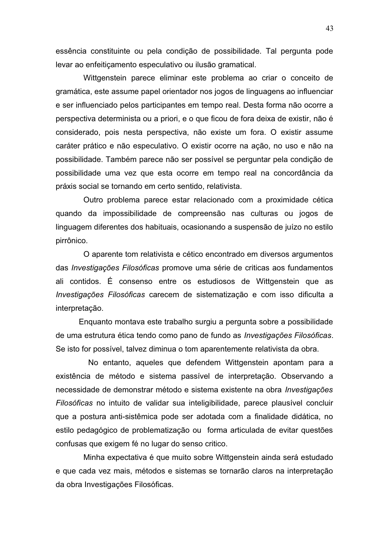essência constituinte ou pela condição de possibilidade. Tal pergunta pode levar ao enfeiticamento especulativo ou ilusão gramatical.

Wittgenstein parece eliminar este problema ao criar o conceito de gramática, este assume papel orientador nos jogos de linguagens ao influenciar e ser influenciado pelos participantes em tempo real. Desta forma não ocorre a perspectiva determinista ou a priori, e o que ficou de fora deixa de existir, não é considerado, pois nesta perspectiva, não existe um fora. O existir assume caráter prático e não especulativo. O existir ocorre na ação, no uso e não na possibilidade. Também parece não ser possível se perguntar pela condição de possibilidade uma vez que esta ocorre em tempo real na concordância da práxis social se tornando em certo sentido, relativista.

Outro problema parece estar relacionado com a proximidade cética quando da impossibilidade de compreensão nas culturas ou jogos de linguagem diferentes dos habituais, ocasionando a suspensão de juízo no estilo pirrônico.

O aparente tom relativista e cético encontrado em diversos argumentos das Investigações Filosóficas promove uma série de criticas aos fundamentos ali contidos. É consenso entre os estudiosos de Wittgenstein que as Investigações Filosóficas carecem de sistematização e com isso dificulta a interpretação.

Enquanto montava este trabalho surgiu a pergunta sobre a possibilidade de uma estrutura ética tendo como pano de fundo as Investigações Filosóficas. Se isto for possível, talvez diminua o tom aparentemente relativista da obra.

No entanto, aqueles que defendem Wittgenstein apontam para a existência de método e sistema passível de interpretação. Observando a necessidade de demonstrar método e sistema existente na obra Investigações Filosóficas no intuito de validar sua inteligibilidade, parece plausível concluir que a postura anti-sistêmica pode ser adotada com a finalidade didática, no estilo pedagógico de problematização ou forma articulada de evitar questões confusas que exigem fé no lugar do senso critico.

Minha expectativa é que muito sobre Wittgenstein ainda será estudado e que cada vez mais, métodos e sistemas se tornarão claros na interpretação da obra Investigações Filosóficas.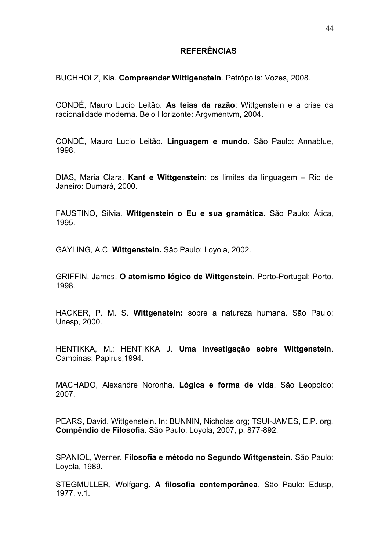### **REFERÊNCIAS**

BUCHHOLZ, Kia. Compreender Wittigenstein. Petrópolis: Vozes, 2008.

CONDÉ, Mauro Lucio Leitão. As teias da razão: Wittgenstein e a crise da racionalidade moderna. Belo Horizonte: Argymentym, 2004.

CONDÉ, Mauro Lucio Leitão. Linguagem e mundo. São Paulo: Annablue, 1998.

DIAS, Maria Clara. Kant e Wittgenstein: os limites da linguagem - Rio de Janeiro: Dumará, 2000.

FAUSTINO, Silvia. Wittgenstein o Eu e sua gramática. São Paulo: Ática, 1995

GAYLING, A.C. Wittgenstein. São Paulo: Lovola, 2002.

GRIFFIN, James. O atomismo lógico de Wittgenstein. Porto-Portugal: Porto. 1998.

HACKER, P. M. S. Wittgenstein: sobre a natureza humana. São Paulo: Unesp, 2000.

HENTIKKA, M.; HENTIKKA J. Uma investigação sobre Wittgenstein. Campinas: Papirus, 1994.

MACHADO. Alexandre Noronha. Lógica e forma de vida. São Leopoldo: 2007.

PEARS, David. Wittgenstein. In: BUNNIN, Nicholas org; TSUI-JAMES, E.P. org. Compêndio de Filosofia. São Paulo: Loyola, 2007, p. 877-892.

SPANIOL, Werner. Filosofia e método no Segundo Wittgenstein. São Paulo: Lovola, 1989.

STEGMULLER, Wolfgang. A filosofia contemporânea. São Paulo: Edusp. 1977. v.1.